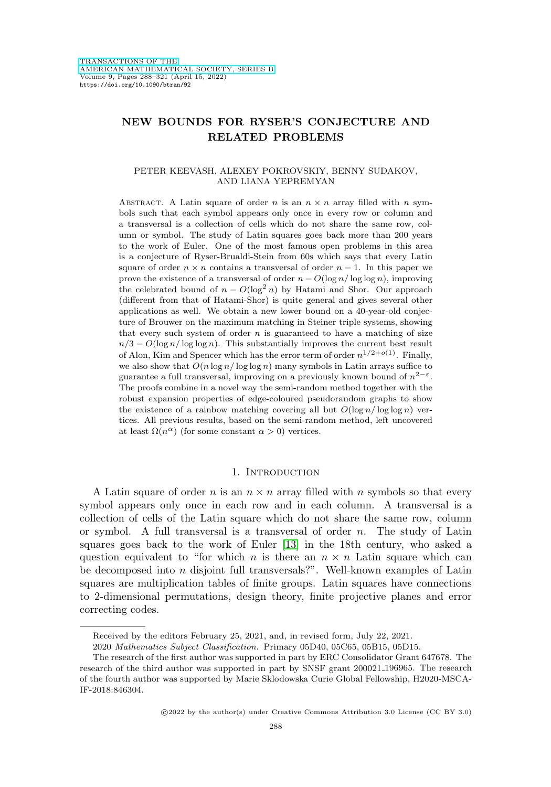# **NEW BOUNDS FOR RYSER'S CONJECTURE AND RELATED PROBLEMS**

### PETER KEEVASH, ALEXEY POKROVSKIY, BENNY SUDAKOV, AND LIANA YEPREMYAN

ABSTRACT. A Latin square of order n is an  $n \times n$  array filled with n symbols such that each symbol appears only once in every row or column and a transversal is a collection of cells which do not share the same row, column or symbol. The study of Latin squares goes back more than 200 years to the work of Euler. One of the most famous open problems in this area is a conjecture of Ryser-Brualdi-Stein from 60s which says that every Latin square of order  $n \times n$  contains a transversal of order  $n-1$ . In this paper we prove the existence of a transversal of order  $n - O(\log n / \log \log n)$ , improving the celebrated bound of  $n - O(\log^2 n)$  by Hatami and Shor. Our approach (different from that of Hatami-Shor) is quite general and gives several other applications as well. We obtain a new lower bound on a 40-year-old conjecture of Brouwer on the maximum matching in Steiner triple systems, showing that every such system of order  $n$  is guaranteed to have a matching of size  $n/3 - O(\log n / \log \log n)$ . This substantially improves the current best result of Alon, Kim and Spencer which has the error term of order  $n^{1/2+o(1)}$ . Finally, we also show that  $O(n \log n / \log \log n)$  many symbols in Latin arrays suffice to guarantee a full transversal, improving on a previously known bound of  $n^{2-\epsilon}$ . The proofs combine in a novel way the semi-random method together with the robust expansion properties of edge-coloured pseudorandom graphs to show the existence of a rainbow matching covering all but  $O(\log n / \log \log n)$  vertices. All previous results, based on the semi-random method, left uncovered at least  $\Omega(n^{\alpha})$  (for some constant  $\alpha > 0$ ) vertices.

#### 1. INTRODUCTION

A Latin square of order n is an  $n \times n$  array filled with n symbols so that every symbol appears only once in each row and in each column. A transversal is a collection of cells of the Latin square which do not share the same row, column or symbol. A full transversal is a transversal of order  $n$ . The study of Latin squares goes back to the work of Euler [\[13\]](#page-32-0) in the 18th century, who asked a question equivalent to "for which n is there an  $n \times n$  Latin square which can be decomposed into n disjoint full transversals?". Well-known examples of Latin squares are multiplication tables of finite groups. Latin squares have connections to 2-dimensional permutations, design theory, finite projective planes and error correcting codes.

-c 2022 by the author(s) under Creative Commons Attribution 3.0 License (CC BY 3.0)

Received by the editors February 25, 2021, and, in revised form, July 22, 2021.

<sup>2020</sup> Mathematics Subject Classification. Primary 05D40, 05C65, 05B15, 05D15. The research of the first author was supported in part by ERC Consolidator Grant 647678. The research of the third author was supported in part by SNSF grant 200021 196965. The research of the fourth author was supported by Marie Sklodowska Curie Global Fellowship, H2020-MSCA-IF-2018:846304.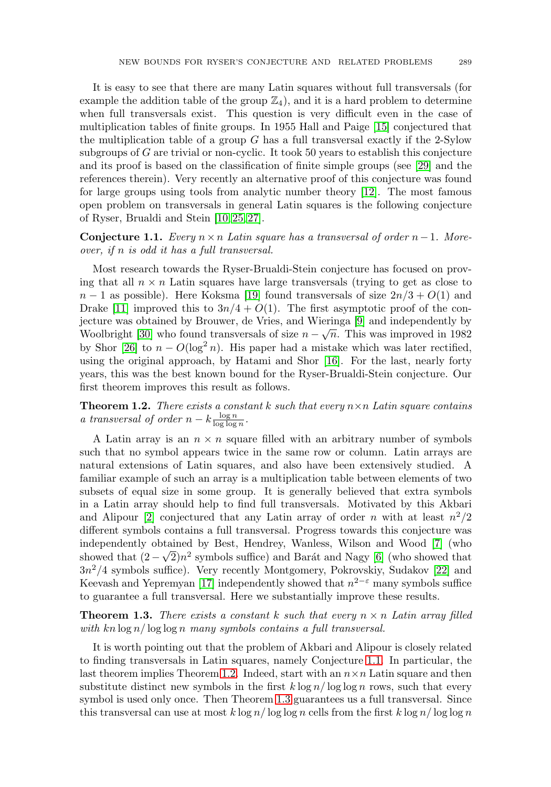It is easy to see that there are many Latin squares without full transversals (for example the addition table of the group  $\mathbb{Z}_4$ ), and it is a hard problem to determine when full transversals exist. This question is very difficult even in the case of multiplication tables of finite groups. In 1955 Hall and Paige [\[15\]](#page-32-1) conjectured that the multiplication table of a group  $G$  has a full transversal exactly if the 2-Sylow subgroups of  $G$  are trivial or non-cyclic. It took 50 years to establish this conjecture and its proof is based on the classification of finite simple groups (see [\[29\]](#page-33-0) and the references therein). Very recently an alternative proof of this conjecture was found for large groups using tools from analytic number theory [\[12\]](#page-32-2). The most famous open problem on transversals in general Latin squares is the following conjecture of Ryser, Brualdi and Stein [\[10,](#page-32-3) [25,](#page-33-1) [27\]](#page-33-2).

<span id="page-1-0"></span>**Conjecture 1.1.** Every  $n \times n$  Latin square has a transversal of order  $n-1$ . Moreover, if n is odd it has a full transversal.

Most research towards the Ryser-Brualdi-Stein conjecture has focused on proving that all  $n \times n$  Latin squares have large transversals (trying to get as close to  $n-1$  as possible). Here Koksma [\[19\]](#page-32-4) found transversals of size  $2n/3 + O(1)$  and Drake [\[11\]](#page-32-5) improved this to  $3n/4 + O(1)$ . The first asymptotic proof of the conjecture was obtained by Brouwer, de Vries, and Wieringa [\[9\]](#page-32-6) and independently by Woolbright [\[30\]](#page-33-3) who found transversals of size  $n - \sqrt{n}$ . This was improved in 1982 by Shor [\[26\]](#page-33-4) to  $n - O(\log^2 n)$ . His paper had a mistake which was later rectified, using the original approach, by Hatami and Shor [\[16\]](#page-32-7). For the last, nearly forty years, this was the best known bound for the Ryser-Brualdi-Stein conjecture. Our first theorem improves this result as follows.

<span id="page-1-1"></span>**Theorem 1.2.** There exists a constant k such that every  $n \times n$  Latin square contains a transversal of order  $n - k \frac{\log n}{\log \log n}$ .

A Latin array is an  $n \times n$  square filled with an arbitrary number of symbols such that no symbol appears twice in the same row or column. Latin arrays are natural extensions of Latin squares, and also have been extensively studied. A familiar example of such an array is a multiplication table between elements of two subsets of equal size in some group. It is generally believed that extra symbols in a Latin array should help to find full transversals. Motivated by this Akbari and Alipour [\[2\]](#page-32-8) conjectured that any Latin array of order n with at least  $n^2/2$ different symbols contains a full transversal. Progress towards this conjecture was independently obtained by Best, Hendrey, Wanless, Wilson and Wood [\[7\]](#page-32-9) (who mae pendently obtained by Best, Hendrey, walless, whist and Wood [t] (who showed that  $(2-\sqrt{2})n^2$  symbols suffice) and Barát and Nagy [\[6\]](#page-32-10) (who showed that  $3n^2/4$  symbols suffice). Very recently Montgomery, Pokrovskiy, Sudakov [\[22\]](#page-33-5) and Keevash and Yepremyan [\[17\]](#page-32-11) independently showed that  $n^{2-\epsilon}$  many symbols suffice to guarantee a full transversal. Here we substantially improve these results.

<span id="page-1-2"></span>**Theorem 1.3.** There exists a constant k such that every  $n \times n$  Latin array filled with  $kn \log n / \log \log n$  many symbols contains a full transversal.

It is worth pointing out that the problem of Akbari and Alipour is closely related to finding transversals in Latin squares, namely Conjecture [1.1.](#page-1-0) In particular, the last theorem implies Theorem [1.2.](#page-1-1) Indeed, start with an  $n \times n$  Latin square and then substitute distinct new symbols in the first  $k \log n / \log \log n$  rows, such that every symbol is used only once. Then Theorem [1.3](#page-1-2) guarantees us a full transversal. Since this transversal can use at most k  $\log n / \log \log n$  cells from the first k  $\log n / \log \log n$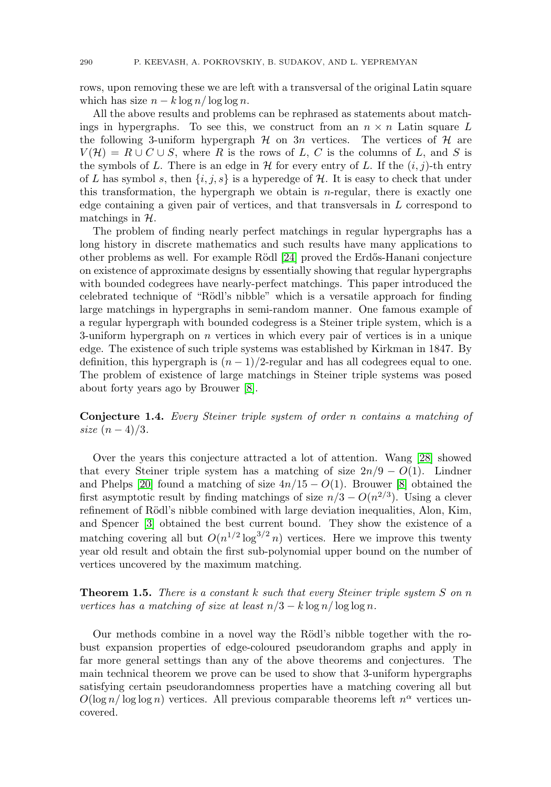rows, upon removing these we are left with a transversal of the original Latin square which has size  $n - k \log n / \log \log n$ .

All the above results and problems can be rephrased as statements about matchings in hypergraphs. To see this, we construct from an  $n \times n$  Latin square L the following 3-uniform hypergraph  $H$  on 3n vertices. The vertices of  $H$  are  $V(\mathcal{H}) = R \cup C \cup S$ , where R is the rows of L, C is the columns of L, and S is the symbols of L. There is an edge in  $\mathcal H$  for every entry of L. If the  $(i, j)$ -th entry of L has symbol s, then  $\{i, j, s\}$  is a hyperedge of H. It is easy to check that under this transformation, the hypergraph we obtain is  $n$ -regular, there is exactly one edge containing a given pair of vertices, and that transversals in L correspond to matchings in  $H$ .

The problem of finding nearly perfect matchings in regular hypergraphs has a long history in discrete mathematics and such results have many applications to other problems as well. For example Rödl [\[24\]](#page-33-6) proved the Erdős-Hanani conjecture on existence of approximate designs by essentially showing that regular hypergraphs with bounded codegrees have nearly-perfect matchings. This paper introduced the celebrated technique of "Rödl's nibble" which is a versatile approach for finding large matchings in hypergraphs in semi-random manner. One famous example of a regular hypergraph with bounded codegress is a Steiner triple system, which is a 3-uniform hypergraph on  $n$  vertices in which every pair of vertices is in a unique edge. The existence of such triple systems was established by Kirkman in 1847. By definition, this hypergraph is  $(n - 1)/2$ -regular and has all codegrees equal to one. The problem of existence of large matchings in Steiner triple systems was posed about forty years ago by Brouwer [\[8\]](#page-32-12).

**Conjecture 1.4.** Every Steiner triple system of order n contains a matching of size  $(n-4)/3$ .

Over the years this conjecture attracted a lot of attention. Wang [\[28\]](#page-33-7) showed that every Steiner triple system has a matching of size  $2n/9 - O(1)$ . Lindner and Phelps [\[20\]](#page-32-13) found a matching of size  $4n/15 - O(1)$ . Brouwer [\[8\]](#page-32-12) obtained the first asymptotic result by finding matchings of size  $n/3 - O(n^{2/3})$ . Using a clever refinement of Rödl's nibble combined with large deviation inequalities, Alon, Kim, and Spencer [\[3\]](#page-32-14) obtained the best current bound. They show the existence of a matching covering all but  $O(n^{1/2} \log^{3/2} n)$  vertices. Here we improve this twenty year old result and obtain the first sub-polynomial upper bound on the number of vertices uncovered by the maximum matching.

<span id="page-2-0"></span>**Theorem 1.5.** There is a constant k such that every Steiner triple system S on n vertices has a matching of size at least  $n/3 - k \log n / \log \log n$ .

Our methods combine in a novel way the Rödl's nibble together with the robust expansion properties of edge-coloured pseudorandom graphs and apply in far more general settings than any of the above theorems and conjectures. The main technical theorem we prove can be used to show that 3-uniform hypergraphs satisfying certain pseudorandomness properties have a matching covering all but  $O(\log n/\log \log n)$  vertices. All previous comparable theorems left  $n^{\alpha}$  vertices uncovered.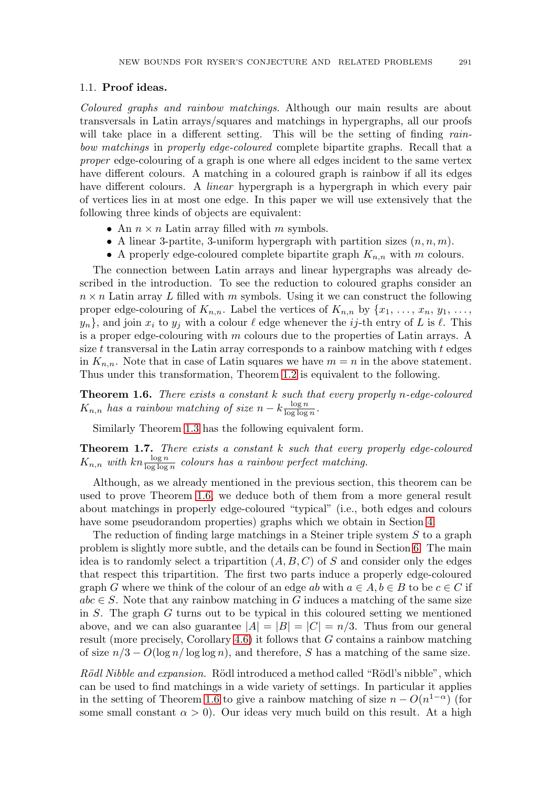### <span id="page-3-2"></span>1.1. **Proof ideas.**

Coloured graphs and rainbow matchings. Although our main results are about transversals in Latin arrays/squares and matchings in hypergraphs, all our proofs will take place in a different setting. This will be the setting of finding rainbow matchings in properly edge-coloured complete bipartite graphs. Recall that a proper edge-colouring of a graph is one where all edges incident to the same vertex have different colours. A matching in a coloured graph is rainbow if all its edges have different colours. A *linear* hypergraph is a hypergraph in which every pair of vertices lies in at most one edge. In this paper we will use extensively that the following three kinds of objects are equivalent:

- An  $n \times n$  Latin array filled with m symbols.
- A linear 3-partite, 3-uniform hypergraph with partition sizes  $(n, n, m)$ .
- A properly edge-coloured complete bipartite graph  $K_{n,n}$  with m colours.

The connection between Latin arrays and linear hypergraphs was already described in the introduction. To see the reduction to coloured graphs consider an  $n \times n$  Latin array L filled with m symbols. Using it we can construct the following proper edge-colouring of  $K_{n,n}$ . Label the vertices of  $K_{n,n}$  by  $\{x_1, \ldots, x_n, y_1, \ldots,$  $y_n$ , and join  $x_i$  to  $y_j$  with a colour  $\ell$  edge whenever the *ij*-th entry of L is  $\ell$ . This is a proper edge-colouring with m colours due to the properties of Latin arrays. A size  $t$  transversal in the Latin array corresponds to a rainbow matching with  $t$  edges in  $K_{n,n}$ . Note that in case of Latin squares we have  $m = n$  in the above statement. Thus under this transformation, Theorem [1.2](#page-1-1) is equivalent to the following.

<span id="page-3-0"></span>**Theorem 1.6.** There exists a constant k such that every properly n-edge-coloured  $K_{n,n}$  has a rainbow matching of size  $n - k \frac{\log n}{\log \log n}$ .

Similarly Theorem [1.3](#page-1-2) has the following equivalent form.

<span id="page-3-3"></span>**Theorem 1.7.** There exists a constant k such that every properly edge-coloured  $K_{n,n}$  with  $kn \frac{\log n}{\log \log n}$  colours has a rainbow perfect matching.

Although, as we already mentioned in the previous section, this theorem can be used to prove Theorem [1.6,](#page-3-0) we deduce both of them from a more general result about matchings in properly edge-coloured "typical" (i.e., both edges and colours have some pseudorandom properties) graphs which we obtain in Section [4.](#page-22-0)

The reduction of finding large matchings in a Steiner triple system S to a graph problem is slightly more subtle, and the details can be found in Section [6.](#page-29-0) The main idea is to randomly select a tripartition  $(A, B, C)$  of S and consider only the edges that respect this tripartition. The first two parts induce a properly edge-coloured graph G where we think of the colour of an edge ab with  $a \in A, b \in B$  to be  $c \in C$  if  $abc \in S$ . Note that any rainbow matching in G induces a matching of the same size in S. The graph G turns out to be typical in this coloured setting we mentioned above, and we can also guarantee  $|A| = |B| = |C| = n/3$ . Thus from our general result (more precisely, Corollary [4.6\)](#page-26-0) it follows that G contains a rainbow matching of size  $n/3 - O(\log n/\log \log n)$ , and therefore, S has a matching of the same size.

<span id="page-3-1"></span>Rödl Nibble and expansion. Rödl introduced a method called "Rödl's nibble", which can be used to find matchings in a wide variety of settings. In particular it applies in the setting of Theorem [1.6](#page-3-0) to give a rainbow matching of size  $n - O(n^{1-\alpha})$  (for some small constant  $\alpha > 0$ ). Our ideas very much build on this result. At a high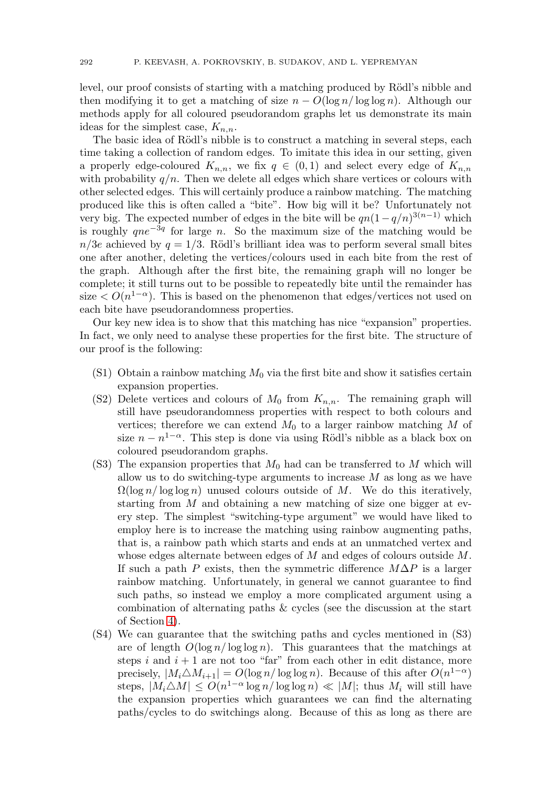level, our proof consists of starting with a matching produced by Rödl's nibble and then modifying it to get a matching of size  $n - O(\log n / \log \log n)$ . Although our methods apply for all coloured pseudorandom graphs let us demonstrate its main ideas for the simplest case,  $K_{n,n}$ .

The basic idea of Rödl's nibble is to construct a matching in several steps, each time taking a collection of random edges. To imitate this idea in our setting, given a properly edge-coloured  $K_{n,n}$ , we fix  $q \in (0,1)$  and select every edge of  $K_{n,n}$ with probability  $q/n$ . Then we delete all edges which share vertices or colours with other selected edges. This will certainly produce a rainbow matching. The matching produced like this is often called a "bite". How big will it be? Unfortunately not very big. The expected number of edges in the bite will be  $qn(1-q/n)^{3(n-1)}$  which is roughly  $qne^{-3q}$  for large n. So the maximum size of the matching would be  $n/3e$  achieved by  $q = 1/3$ . Rödl's brilliant idea was to perform several small bites one after another, deleting the vertices/colours used in each bite from the rest of the graph. Although after the first bite, the remaining graph will no longer be complete; it still turns out to be possible to repeatedly bite until the remainder has size  $\langle O(n^{1-\alpha})$ . This is based on the phenomenon that edges/vertices not used on each bite have pseudorandomness properties.

Our key new idea is to show that this matching has nice "expansion" properties. In fact, we only need to analyse these properties for the first bite. The structure of our proof is the following:

- (S1) Obtain a rainbow matching  $M_0$  via the first bite and show it satisfies certain expansion properties.
- (S2) Delete vertices and colours of  $M_0$  from  $K_{n,n}$ . The remaining graph will still have pseudorandomness properties with respect to both colours and vertices; therefore we can extend  $M_0$  to a larger rainbow matching M of size  $n - n^{1-\alpha}$ . This step is done via using Rödl's nibble as a black box on coloured pseudorandom graphs.
- (S3) The expansion properties that  $M_0$  had can be transferred to M which will allow us to do switching-type arguments to increase  $M$  as long as we have  $\Omega(\log n / \log \log n)$  unused colours outside of M. We do this iteratively, starting from  $M$  and obtaining a new matching of size one bigger at every step. The simplest "switching-type argument" we would have liked to employ here is to increase the matching using rainbow augmenting paths, that is, a rainbow path which starts and ends at an unmatched vertex and whose edges alternate between edges of  $M$  and edges of colours outside  $M$ . If such a path P exists, then the symmetric difference  $M\Delta P$  is a larger rainbow matching. Unfortunately, in general we cannot guarantee to find such paths, so instead we employ a more complicated argument using a combination of alternating paths & cycles (see the discussion at the start of Section [4\)](#page-22-0).
- (S4) We can guarantee that the switching paths and cycles mentioned in (S3) are of length  $O(\log n/\log \log n)$ . This guarantees that the matchings at steps i and  $i + 1$  are not too "far" from each other in edit distance, more precisely,  $|M_i \triangle M_{i+1}| = O(\log n / \log \log n)$ . Because of this after  $O(n^{1-\alpha})$ steps,  $|M_i \triangle M| \leq O(n^{1-\alpha} \log n / \log \log n) \ll |M|$ ; thus  $M_i$  will still have the expansion properties which guarantees we can find the alternating paths/cycles to do switchings along. Because of this as long as there are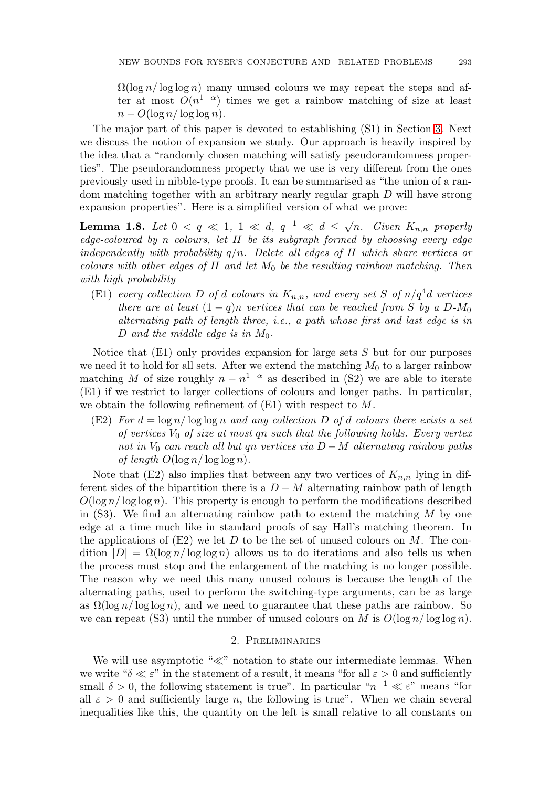$\Omega(\log n / \log \log n)$  many unused colours we may repeat the steps and after at most  $O(n^{1-\alpha})$  times we get a rainbow matching of size at least  $n - O(\log n / \log \log n)$ .

The major part of this paper is devoted to establishing (S1) in Section [3.](#page-10-0) Next we discuss the notion of expansion we study. Our approach is heavily inspired by the idea that a "randomly chosen matching will satisfy pseudorandomness properties". The pseudorandomness property that we use is very different from the ones previously used in nibble-type proofs. It can be summarised as "the union of a random matching together with an arbitrary nearly regular graph D will have strong expansion properties". Here is a simplified version of what we prove:

**Lemma 1.8.** Let  $0 < q \ll 1$ ,  $1 \ll d$ ,  $q^{-1} \ll d \leq \sqrt{n}$ . Given  $K_{n,n}$  properly edge-coloured by n colours, let H be its subgraph formed by choosing every edge independently with probability  $q/n$ . Delete all edges of H which share vertices or colours with other edges of H and let  $M_0$  be the resulting rainbow matching. Then with high probability

(E1) every collection D of d colours in  $K_{n,n}$ , and every set S of  $n/q^4d$  vertices there are at least  $(1 - q)n$  vertices that can be reached from S by a D-M<sub>0</sub> alternating path of length three, i.e., a path whose first and last edge is in D and the middle edge is in  $M_0$ .

Notice that  $(E1)$  only provides expansion for large sets  $S$  but for our purposes we need it to hold for all sets. After we extend the matching  $M_0$  to a larger rainbow matching M of size roughly  $n - n^{1-\alpha}$  as described in (S2) we are able to iterate (E1) if we restrict to larger collections of colours and longer paths. In particular, we obtain the following refinement of  $(E1)$  with respect to  $M$ .

(E2) For  $d = \log n / \log \log n$  and any collection D of d colours there exists a set of vertices  $V_0$  of size at most qn such that the following holds. Every vertex not in  $V_0$  can reach all but qn vertices via  $D-M$  alternating rainbow paths of length  $O(\log n/\log\log n)$ .

Note that (E2) also implies that between any two vertices of  $K_{n,n}$  lying in different sides of the bipartition there is a  $D - M$  alternating rainbow path of length  $O(\log n/\log \log n)$ . This property is enough to perform the modifications described in  $(S3)$ . We find an alternating rainbow path to extend the matching M by one edge at a time much like in standard proofs of say Hall's matching theorem. In the applications of  $(E2)$  we let D to be the set of unused colours on M. The condition  $|D| = \Omega(\log n / \log \log n)$  allows us to do iterations and also tells us when the process must stop and the enlargement of the matching is no longer possible. The reason why we need this many unused colours is because the length of the alternating paths, used to perform the switching-type arguments, can be as large as  $\Omega(\log n / \log \log n)$ , and we need to guarantee that these paths are rainbow. So we can repeat (S3) until the number of unused colours on M is  $O(\log n/\log \log n)$ .

### 2. Preliminaries

We will use asymptotic " $\ll$ " notation to state our intermediate lemmas. When we write " $\delta \ll \varepsilon$ " in the statement of a result, it means "for all  $\varepsilon > 0$  and sufficiently small  $\delta > 0$ , the following statement is true". In particular " $n^{-1} \ll \varepsilon$ " means "for all  $\varepsilon > 0$  and sufficiently large n, the following is true". When we chain several inequalities like this, the quantity on the left is small relative to all constants on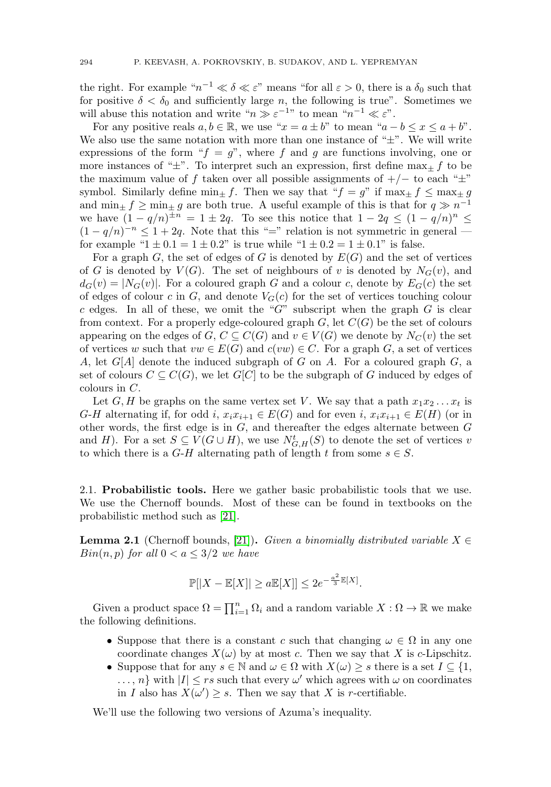the right. For example " $n^{-1} \ll \delta \ll \varepsilon$ " means "for all  $\varepsilon > 0$ , there is a  $\delta_0$  such that for positive  $\delta < \delta_0$  and sufficiently large n, the following is true". Sometimes we will abuse this notation and write " $n \gg \varepsilon^{-1}$ " to mean " $n^{-1} \ll \varepsilon$ ".

For any positive reals  $a, b \in \mathbb{R}$ , we use " $x = a \pm b$ " to mean " $a - b \le x \le a + b$ ". We also use the same notation with more than one instance of  $4\pm$ ". We will write expressions of the form " $f = g$ ", where f and g are functions involving, one or more instances of " $\pm$ ". To interpret such an expression, first define max $\pm f$  to be the maximum value of f taken over all possible assignments of  $+/-$  to each " $\pm$ " symbol. Similarly define  $\min_{\pm} f$ . Then we say that " $f = g$ " if  $\max_{\pm} f \leq \max_{\pm} g$ and min+  $f \ge \min_+ g$  are both true. A useful example of this is that for  $q \gg n^{-1}$ we have  $(1 - q/n)^{\pm n} = 1 \pm 2q$ . To see this notice that  $1 - 2q \leq (1 - q/n)^n \leq$  $(1 - q/n)^{-n} \leq 1 + 2q$ . Note that this "=" relation is not symmetric in general for example " $1 \pm 0.1 = 1 \pm 0.2$ " is true while " $1 \pm 0.2 = 1 \pm 0.1$ " is false.

For a graph G, the set of edges of G is denoted by  $E(G)$  and the set of vertices of G is denoted by  $V(G)$ . The set of neighbours of v is denoted by  $N_G(v)$ , and  $d_G(v) = |N_G(v)|$ . For a coloured graph G and a colour c, denote by  $E_G(c)$  the set of edges of colour c in G, and denote  $V_G(c)$  for the set of vertices touching colour c edges. In all of these, we omit the "G" subscript when the graph  $G$  is clear from context. For a properly edge-coloured graph  $G$ , let  $C(G)$  be the set of colours appearing on the edges of G,  $C \subseteq C(G)$  and  $v \in V(G)$  we denote by  $N_C(v)$  the set of vertices w such that  $vw \in E(G)$  and  $c(vw) \in C$ . For a graph G, a set of vertices A, let  $G[A]$  denote the induced subgraph of G on A. For a coloured graph  $G$ , a set of colours  $C \subseteq C(G)$ , we let  $G[C]$  to be the subgraph of G induced by edges of colours in C.

Let G, H be graphs on the same vertex set V. We say that a path  $x_1x_2 \ldots x_t$  is G-H alternating if, for odd i,  $x_i x_{i+1} \in E(G)$  and for even i,  $x_i x_{i+1} \in E(H)$  (or in other words, the first edge is in  $G$ , and thereafter the edges alternate between  $G$ and H). For a set  $S \subseteq V(G \cup H)$ , we use  $N_{G,H}^t(S)$  to denote the set of vertices v to which there is a  $G-H$  alternating path of length t from some  $s \in S$ .

2.1. **Probabilistic tools.** Here we gather basic probabilistic tools that we use. We use the Chernoff bounds. Most of these can be found in textbooks on the probabilistic method such as [\[21\]](#page-32-15).

**Lemma 2.1** (Chernoff bounds, [\[21\]](#page-32-15)). Given a binomially distributed variable  $X \in$  $Bin(n, p)$  for all  $0 < a \leq 3/2$  we have

$$
\mathbb{P}[|X - \mathbb{E}[X]| \ge a \mathbb{E}[X]] \le 2e^{-\frac{a^2}{3}\mathbb{E}[X]}.
$$

Given a product space  $\Omega = \prod_{i=1}^{n} \Omega_i$  and a random variable  $X : \Omega \to \mathbb{R}$  we make the following definitions.

- Suppose that there is a constant c such that changing  $\omega \in \Omega$  in any one coordinate changes  $X(\omega)$  by at most c. Then we say that X is c-Lipschitz.
- Suppose that for any  $s \in \mathbb{N}$  and  $\omega \in \Omega$  with  $X(\omega) \geq s$  there is a set  $I \subseteq \{1, \dots, n\}$  $\ldots$ , n} with  $|I| \leq rs$  such that every  $\omega'$  which agrees with  $\omega$  on coordinates in I also has  $X(\omega') \geq s$ . Then we say that X is r-certifiable.

We'll use the following two versions of Azuma's inequality.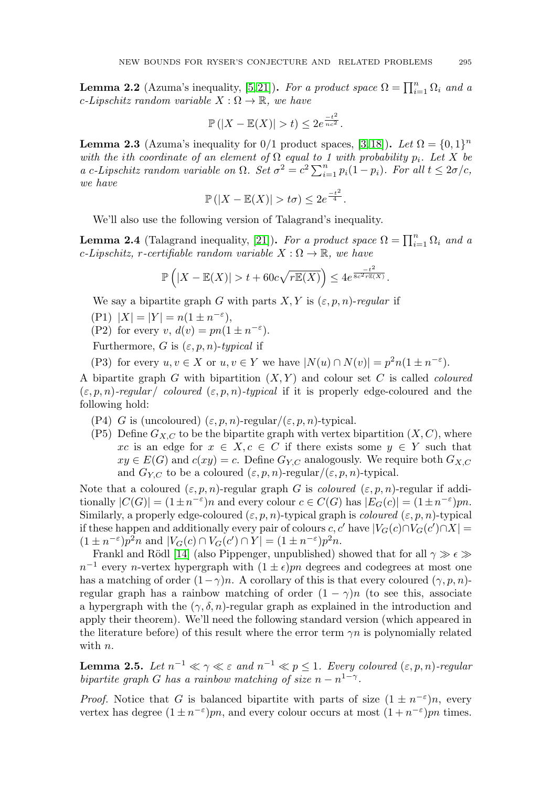**Lemma 2.2** (Azuma's inequality, [\[5,](#page-32-16) [21\]](#page-32-15)). For a product space  $\Omega = \prod_{i=1}^{n} \Omega_i$  and a c-Lipschitz random variable  $X : \Omega \to \mathbb{R}$ , we have

 $\overline{2}$ 

$$
\mathbb{P}(|X - \mathbb{E}(X)| > t) \le 2e^{\frac{-t^2}{nc^2}}.
$$

<span id="page-7-1"></span>**Lemma 2.3** (Azuma's inequality for  $0/1$  product spaces, [\[3,](#page-32-14)18]). Let  $\Omega = \{0, 1\}^n$ with the ith coordinate of an element of  $\Omega$  equal to 1 with probability  $p_i$ . Let X be a c-Lipschitz random variable on  $\Omega$ . Set  $\sigma^2 = c^2 \sum_{i=1}^n p_i(1-p_i)$ . For all  $t \leq 2\sigma/c$ , we have

$$
\mathbb{P}(|X - \mathbb{E}(X)| > t\sigma) \le 2e^{\frac{-t^2}{4}}.
$$

We'll also use the following version of Talagrand's inequality.

**Lemma 2.4** (Talagrand inequality, [\[21\]](#page-32-15)). For a product space  $\Omega = \prod_{i=1}^{n} \Omega_i$  and a c-Lipschitz, r-certifiable random variable  $X : \Omega \to \mathbb{R}$ , we have

$$
\mathbb{P}\left(|X-\mathbb{E}(X)| > t + 60c\sqrt{r\mathbb{E}(X)}\right) \leq 4e^{\frac{-t^2}{8c^2r\mathbb{E}(X)}}.
$$

We say a bipartite graph G with parts X, Y is  $(\varepsilon, p, n)$ -regular if

- $(P1)$   $|X| = |Y| = n(1 \pm n^{-\epsilon}),$
- (P2) for every v,  $d(v) = pn(1 \pm n^{-\epsilon}).$

Furthermore, G is  $(\varepsilon, p, n)$ -typical if

(P3) for every  $u, v \in X$  or  $u, v \in Y$  we have  $|N(u) \cap N(v)| = p^2 n(1 \pm n^{-\varepsilon}).$ 

A bipartite graph G with bipartition  $(X, Y)$  and colour set C is called *coloured*  $(\varepsilon, p, n)$ -regular/ coloured  $(\varepsilon, p, n)$ -typical if it is properly edge-coloured and the following hold:

- (P4) G is (uncoloured)  $(\varepsilon, p, n)$ -regular/ $(\varepsilon, p, n)$ -typical.
- (P5) Define  $G_{X,C}$  to be the bipartite graph with vertex bipartition  $(X, C)$ , where xc is an edge for  $x \in X, c \in C$  if there exists some  $y \in Y$  such that  $xy \in E(G)$  and  $c(xy) = c$ . Define  $G_{Y,C}$  analogously. We require both  $G_{X,C}$ and  $G_{Y,C}$  to be a coloured  $(\varepsilon, p, n)$ -regular/ $(\varepsilon, p, n)$ -typical.

Note that a coloured  $(\varepsilon, p, n)$ -regular graph G is *coloured*  $(\varepsilon, p, n)$ -regular if additionally  $|C(G)| = (1 \pm n^{-\varepsilon})n$  and every colour  $c \in C(G)$  has  $|E_G(c)| = (1 \pm n^{-\varepsilon})pn$ . Similarly, a properly edge-coloured  $(\varepsilon, p, n)$ -typical graph is *coloured*  $(\varepsilon, p, n)$ -typical if these happen and additionally every pair of colours  $c, c'$  have  $|V_G(c) \cap V_G(c') \cap X|$  $(1 \pm n^{-\varepsilon})p^2n$  and  $|V_G(c) \cap V_G(c') \cap Y| = (1 \pm n^{-\varepsilon})p^2n$ .

Frankl and Rödl [\[14\]](#page-32-18) (also Pippenger, unpublished) showed that for all  $\gamma \gg \epsilon \gg$  $n^{-1}$  every n-vertex hypergraph with  $(1 \pm \epsilon)pn$  degrees and codegrees at most one has a matching of order  $(1-\gamma)n$ . A corollary of this is that every coloured  $(\gamma, p, n)$ regular graph has a rainbow matching of order  $(1 - \gamma)n$  (to see this, associate a hypergraph with the  $(\gamma, \delta, n)$ -regular graph as explained in the introduction and apply their theorem). We'll need the following standard version (which appeared in the literature before) of this result where the error term  $\gamma n$  is polynomially related with *n*.

<span id="page-7-0"></span>**Lemma 2.5.** Let  $n^{-1} \ll \gamma \ll \varepsilon$  and  $n^{-1} \ll p \leq 1$ . Every coloured  $(\varepsilon, p, n)$ -regular bipartite graph G has a rainbow matching of size  $n - n^{1-\gamma}$ .

*Proof.* Notice that G is balanced bipartite with parts of size  $(1 \pm n^{-\epsilon})n$ , every vertex has degree  $(1 \pm n^{-\varepsilon})pn$ , and every colour occurs at most  $(1 + n^{-\varepsilon})pn$  times.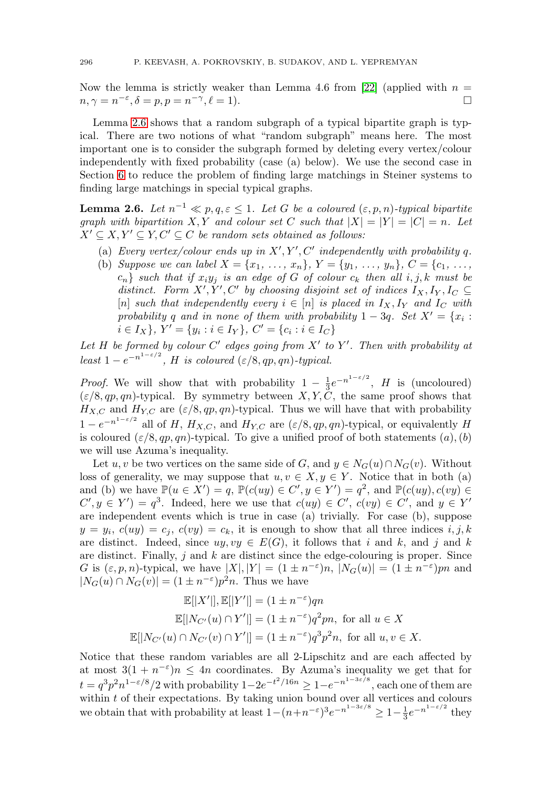Now the lemma is strictly weaker than Lemma 4.6 from [\[22\]](#page-33-5) (applied with  $n =$  $n, \gamma = n^{-\varepsilon}, \delta = p, p = n^{-\gamma}, \ell = 1$ .  $\ell = 1$ ).

Lemma [2.6](#page-8-0) shows that a random subgraph of a typical bipartite graph is typical. There are two notions of what "random subgraph" means here. The most important one is to consider the subgraph formed by deleting every vertex/colour independently with fixed probability (case (a) below). We use the second case in Section [6](#page-29-0) to reduce the problem of finding large matchings in Steiner systems to finding large matchings in special typical graphs.

<span id="page-8-0"></span>**Lemma 2.6.** Let  $n^{-1} \ll p, q, \varepsilon \leq 1$ . Let G be a coloured  $(\varepsilon, p, n)$ -typical bipartite graph with bipartition X, Y and colour set C such that  $|X| = |Y| = |C| = n$ . Let  $X' \subseteq X, Y' \subseteq Y, C' \subseteq C$  be random sets obtained as follows:

- (a) Every vertex/colour ends up in  $X', Y', C'$  independently with probability q.
- (b) Suppose we can label  $X = \{x_1, \ldots, x_n\}, Y = \{y_1, \ldots, y_n\}, C = \{c_1, \ldots, c_n\}$  $c_n$  such that if  $x_iy_j$  is an edge of G of colour  $c_k$  then all i, j, k must be distinct. Form  $X', Y', C'$  by choosing disjoint set of indices  $I_X, I_Y, I_C \subseteq$ [n] such that independently every  $i \in [n]$  is placed in  $I_X, I_Y$  and  $I_C$  with probability q and in none of them with probability  $1-3q$ . Set  $X' = \{x_i :$  $i \in I_X$ ,  $Y' = \{y_i : i \in I_Y\}$ ,  $C' = \{c_i : i \in I_C\}$

Let H be formed by colour C' edges going from X' to Y'. Then with probability at least  $1 - e^{-n^{1-\epsilon/2}}$ , H is coloured  $(\varepsilon/8, qp, qp)$ -typical.

*Proof.* We will show that with probability  $1 - \frac{1}{3}e^{-n^{1-\epsilon/2}}$ , H is (uncoloured)  $(\varepsilon/8, qp, gn)$ -typical. By symmetry between  $X, Y, C$ , the same proof shows that  $H_{X,C}$  and  $H_{Y,C}$  are  $(\varepsilon/8, qp, qn)$ -typical. Thus we will have that with probability  $1 - e^{-n^{1-\varepsilon/2}}$  all of H,  $H_{X,C}$ , and  $H_{Y,C}$  are  $(\varepsilon/8, qp, qn)$ -typical, or equivalently H is coloured  $(\varepsilon/8, qp, qn)$ -typical. To give a unified proof of both statements  $(a), (b)$ we will use Azuma's inequality.

Let u, v be two vertices on the same side of G, and  $y \in N_G(u) \cap N_G(v)$ . Without loss of generality, we may suppose that  $u, v \in X, y \in Y$ . Notice that in both (a) and (b) we have  $\mathbb{P}(u \in X') = q$ ,  $\mathbb{P}(c(uy) \in C', y \in Y') = q^2$ , and  $\mathbb{P}(c(uy), c(vy) \in C')$  $C', y \in Y'$  =  $q^3$ . Indeed, here we use that  $c(uy) \in C'$ ,  $c(vy) \in C'$ , and  $y \in Y'$ are independent events which is true in case (a) trivially. For case (b), suppose  $y = y_i$ ,  $c(uy) = c_i$ ,  $c(vy) = c_k$ , it is enough to show that all three indices i, j, k are distinct. Indeed, since  $uy, vy \in E(G)$ , it follows that i and k, and j and k are distinct. Finally,  $j$  and  $k$  are distinct since the edge-colouring is proper. Since G is  $(\varepsilon, p, n)$ -typical, we have  $|X|, |Y| = (1 \pm n^{-\varepsilon})n, |N_G(u)| = (1 \pm n^{-\varepsilon})pn$  and  $|N_G(u) \cap N_G(v)| = (1 \pm n^{-\varepsilon})p^2n$ . Thus we have

$$
\mathbb{E}[|X'|], \mathbb{E}[|Y'|] = (1 \pm n^{-\varepsilon})qn
$$
  

$$
\mathbb{E}[|N_{C'}(u) \cap Y'|] = (1 \pm n^{-\varepsilon})q^2pn, \text{ for all } u \in X
$$
  

$$
\mathbb{E}[|N_{C'}(u) \cap N_{C'}(v) \cap Y'|] = (1 \pm n^{-\varepsilon})q^3p^2n, \text{ for all } u, v \in X.
$$

Notice that these random variables are all 2-Lipschitz and are each affected by at most  $3(1 + n^{-\epsilon})n \leq 4n$  coordinates. By Azuma's inequality we get that for  $t = q^3 p^2 n^{1-\varepsilon/8}/2$  with probability  $1-2e^{-t^2/16n} \geq 1-e^{-n^{1-3\varepsilon/8}}$ , each one of them are within  $t$  of their expectations. By taking union bound over all vertices and colours we obtain that with probability at least  $1-(n+n^{-\varepsilon})^3e^{-n^{1-3\varepsilon/8}} \geq 1-\frac{1}{3}e^{-n^{1-\varepsilon/2}}$  they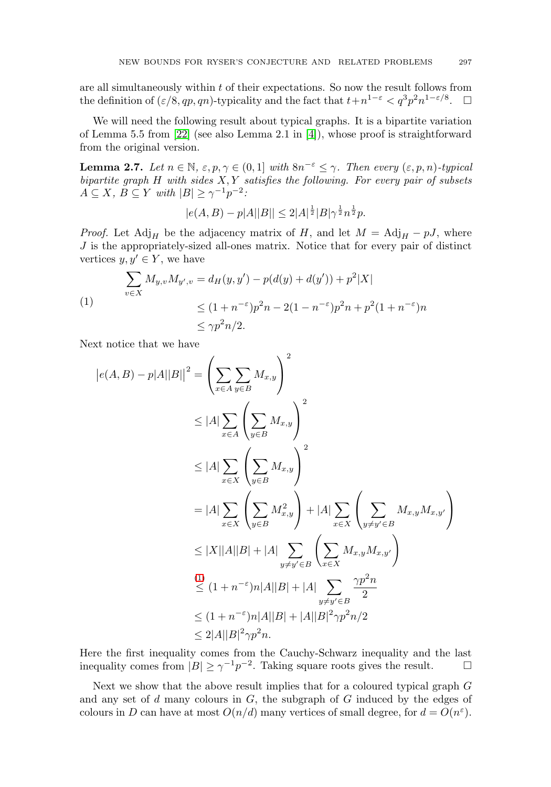are all simultaneously within  $t$  of their expectations. So now the result follows from the definition of  $(\varepsilon/8, qp, qn)$ -typicality and the fact that  $t+n^{1-\varepsilon} < q^3p^2n^{1-\varepsilon/8}$ .  $\Box$ 

We will need the following result about typical graphs. It is a bipartite variation of Lemma 5.5 from  $[22]$  (see also Lemma 2.1 in  $[4]$ ), whose proof is straightforward from the original version.

<span id="page-9-1"></span>**Lemma 2.7.** Let  $n \in \mathbb{N}$ ,  $\varepsilon, p, \gamma \in (0, 1]$  with  $8n^{-\varepsilon} \leq \gamma$ . Then every  $(\varepsilon, p, n)$ -typical bipartite graph  $H$  with sides  $X, Y$  satisfies the following. For every pair of subsets  $A \subseteq X$ ,  $B \subseteq Y$  with  $|B| \geq \gamma^{-1}p^{-2}$ :

$$
|e(A,B) - p|A||B|| \le 2|A|^{\frac{1}{2}}|B|\gamma^{\frac{1}{2}}n^{\frac{1}{2}}p.
$$

*Proof.* Let  $\text{Adj}_H$  be the adjacency matrix of H, and let  $M = \text{Adj}_H - pJ$ , where  $J$  is the appropriately-sized all-ones matrix. Notice that for every pair of distinct vertices  $y, y' \in Y$ , we have

<span id="page-9-0"></span>(1)  
\n
$$
\sum_{v \in X} M_{y,v} M_{y',v} = d_H(y, y') - p(d(y) + d(y')) + p^2 |X|
$$
\n
$$
\leq (1 + n^{-\varepsilon}) p^2 n - 2(1 - n^{-\varepsilon}) p^2 n + p^2 (1 + n^{-\varepsilon}) n
$$
\n
$$
\leq \gamma p^2 n / 2.
$$

Next notice that we have

$$
|e(A,B) - p|A||B||^2 = \left(\sum_{x \in A} \sum_{y \in B} M_{x,y}\right)^2
$$
  
\n
$$
\leq |A| \sum_{x \in A} \left(\sum_{y \in B} M_{x,y}\right)^2
$$
  
\n
$$
\leq |A| \sum_{x \in X} \left(\sum_{y \in B} M_{x,y}\right)^2
$$
  
\n
$$
= |A| \sum_{x \in X} \left(\sum_{y \in B} M_{x,y}^2\right) + |A| \sum_{x \in X} \left(\sum_{y \neq y' \in B} M_{x,y} M_{x,y'}\right)
$$
  
\n
$$
\leq |X||A||B| + |A| \sum_{y \neq y' \in B} \left(\sum_{x \in X} M_{x,y} M_{x,y'}\right)
$$
  
\n
$$
\stackrel{(1)}{\leq} (1 + n^{-\varepsilon})n|A||B| + |A| \sum_{y \neq y' \in B} \frac{\gamma p^2 n}{2}
$$
  
\n
$$
\leq (1 + n^{-\varepsilon})n|A||B| + |A||B|^2 \gamma p^2 n/2
$$
  
\n
$$
\leq 2|A||B|^2 \gamma p^2 n.
$$

Here the first inequality comes from the Cauchy-Schwarz inequality and the last inequality comes from  $|B| \geq \gamma^{-1}p^{-2}$ . Taking square roots gives the result.  $\Box$ 

Next we show that the above result implies that for a coloured typical graph G and any set of  $d$  many colours in  $G$ , the subgraph of  $G$  induced by the edges of colours in D can have at most  $O(n/d)$  many vertices of small degree, for  $d = O(n^{\varepsilon})$ .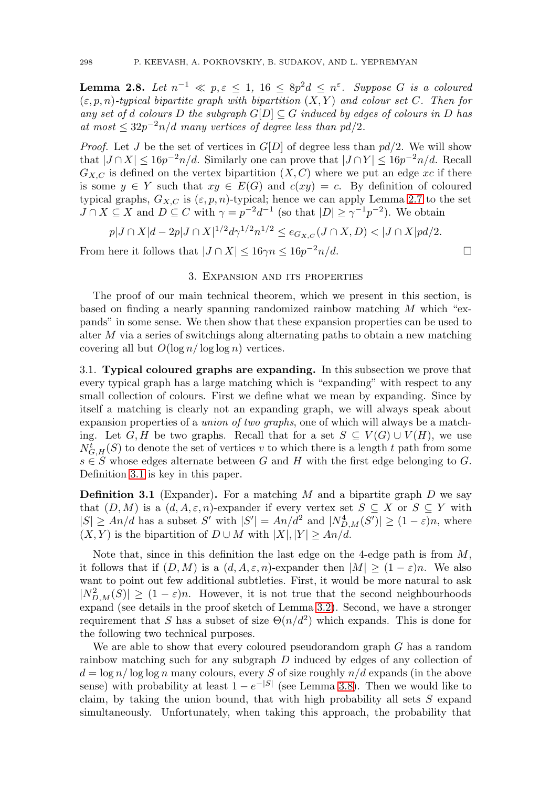<span id="page-10-2"></span>**Lemma 2.8.** Let  $n^{-1} \ll p, \varepsilon \leq 1$ ,  $16 \leq 8p^2d \leq n^{\varepsilon}$ . Suppose G is a coloured  $(\varepsilon, p, n)$ -typical bipartite graph with bipartition  $(X, Y)$  and colour set C. Then for any set of d colours D the subgraph  $G[D] \subseteq G$  induced by edges of colours in D has at most  $\leq 32p^{-2}n/d$  many vertices of degree less than pd/2.

*Proof.* Let J be the set of vertices in  $G[D]$  of degree less than  $pd/2$ . We will show that  $|J \cap X| \leq 16p^{-2n}/d$ . Similarly one can prove that  $|J \cap Y| \leq 16p^{-2n}/d$ . Recall  $G_{X,C}$  is defined on the vertex bipartition  $(X, C)$  where we put an edge xc if there is some  $y \in Y$  such that  $xy \in E(G)$  and  $c(xy) = c$ . By definition of coloured typical graphs,  $G_{X,C}$  is  $(\varepsilon, p, n)$ -typical; hence we can apply Lemma [2.7](#page-9-1) to the set  $J \cap X \subseteq X$  and  $D \subseteq C$  with  $\gamma = p^{-2}d^{-1}$  (so that  $|D| \geq \gamma^{-1}p^{-2}$ ). We obtain

$$
p|J \cap X|d - 2p|J \cap X|^{1/2}d\gamma^{1/2}n^{1/2} \le e_{G_{X,C}}(J \cap X, D) < |J \cap X|pd/2.
$$

<span id="page-10-0"></span>From here it follows that  $|J \cap X| \leq 16\gamma n \leq 16p^{-2n/d}$ .

### 3. Expansion and its properties

The proof of our main technical theorem, which we present in this section, is based on finding a nearly spanning randomized rainbow matching M which "expands" in some sense. We then show that these expansion properties can be used to alter M via a series of switchings along alternating paths to obtain a new matching covering all but  $O(\log n / \log \log n)$  vertices.

3.1. **Typical coloured graphs are expanding.** In this subsection we prove that every typical graph has a large matching which is "expanding" with respect to any small collection of colours. First we define what we mean by expanding. Since by itself a matching is clearly not an expanding graph, we will always speak about expansion properties of a union of two graphs, one of which will always be a matching. Let  $G, H$  be two graphs. Recall that for a set  $S \subseteq V(G) \cup V(H)$ , we use  $N_{G,H}^t(S)$  to denote the set of vertices v to which there is a length t path from some  $s \in S$  whose edges alternate between G and H with the first edge belonging to G. Definition [3.1](#page-10-1) is key in this paper.

<span id="page-10-1"></span>**Definition 3.1** (Expander). For a matching M and a bipartite graph D we say that  $(D, M)$  is a  $(d, A, \varepsilon, n)$ -expander if every vertex set  $S \subseteq X$  or  $S \subseteq Y$  with  $|S| \geq An/d$  has a subset S' with  $|S'| = An/d^2$  and  $|N_{D,M}^4(S')| \geq (1 - \varepsilon)n$ , where  $(X, Y)$  is the bipartition of  $D \cup M$  with  $|X|, |Y| \geq An/d$ .

Note that, since in this definition the last edge on the 4-edge path is from  $M$ , it follows that if  $(D, M)$  is a  $(d, A, \varepsilon, n)$ -expander then  $|M| \geq (1 - \varepsilon)n$ . We also want to point out few additional subtleties. First, it would be more natural to ask  $|N_{D,M}^2(S)| \ge (1-\varepsilon)n$ . However, it is not true that the second neighbourhoods expand (see details in the proof sketch of Lemma [3.2\)](#page-11-0). Second, we have a stronger requirement that S has a subset of size  $\Theta(n/d^2)$  which expands. This is done for the following two technical purposes.

We are able to show that every coloured pseudorandom graph G has a random rainbow matching such for any subgraph D induced by edges of any collection of  $d = \log n / \log \log n$  many colours, every S of size roughly  $n/d$  expands (in the above sense) with probability at least  $1 - e^{-|S|}$  (see Lemma [3.8\)](#page-15-0). Then we would like to claim, by taking the union bound, that with high probability all sets  $S$  expand simultaneously. Unfortunately, when taking this approach, the probability that

 $\Box$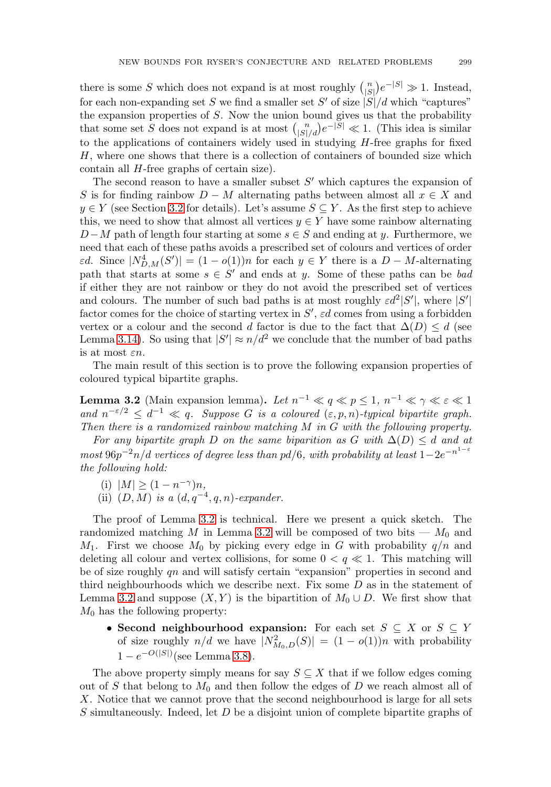there is some S which does not expand is at most roughly  $\binom{n}{|S|}e^{-|S|} \gg 1$ . Instead, for each non-expanding set S we find a smaller set S' of size  $|S|/d$  which "captures" the expansion properties of  $S$ . Now the union bound gives us that the probability that some set S does not expand is at most  $\binom{n}{|S|/d}e^{-|S|} \ll 1$ . (This idea is similar to the applications of containers widely used in studying H-free graphs for fixed H, where one shows that there is a collection of containers of bounded size which contain all H-free graphs of certain size).

The second reason to have a smaller subset  $S'$  which captures the expansion of S is for finding rainbow  $D - M$  alternating paths between almost all  $x \in X$  and  $y \in Y$  (see Section [3.2](#page-19-0) for details). Let's assume  $S \subseteq Y$ . As the first step to achieve this, we need to show that almost all vertices  $y \in Y$  have some rainbow alternating  $D-M$  path of length four starting at some  $s \in S$  and ending at y. Furthermore, we need that each of these paths avoids a prescribed set of colours and vertices of order  $\varepsilon d$ . Since  $|N_{D,M}^4(S')| = (1 - o(1))n$  for each  $y \in Y$  there is a  $D - M$ -alternating path that starts at some  $s \in S'$  and ends at y. Some of these paths can be bad if either they are not rainbow or they do not avoid the prescribed set of vertices and colours. The number of such bad paths is at most roughly  $\varepsilon d^2 |S'|$ , where  $|S'|$ factor comes for the choice of starting vertex in  $S'$ ,  $\varepsilon d$  comes from using a forbidden vertex or a colour and the second d factor is due to the fact that  $\Delta(D) \leq d$  (see Lemma [3.14\)](#page-20-0). So using that  $|S'| \approx n/d^2$  we conclude that the number of bad paths is at most  $\varepsilon n$ .

The main result of this section is to prove the following expansion properties of coloured typical bipartite graphs.

<span id="page-11-0"></span>**Lemma 3.2** (Main expansion lemma). Let  $n^{-1} \ll q \ll p \leq 1$ ,  $n^{-1} \ll \gamma \ll \varepsilon \ll 1$ and  $n^{-\epsilon/2} \leq d^{-1} \ll q$ . Suppose G is a coloured  $(\epsilon, p, n)$ -typical bipartite graph. Then there is a randomized rainbow matching M in G with the following property.

For any bipartite graph D on the same biparition as G with  $\Delta(D) \leq d$  and at most 96p<sup>-2</sup>n/d vertices of degree less than pd/6, with probability at least  $1-2e^{-n^{1-\epsilon}}$ the following hold:

- (i)  $|M| \ge (1 n^{-\gamma})n$ ,
- (ii)  $(D, M)$  is a  $(d, q^{-4}, q, n)$ -expander.

The proof of Lemma [3.2](#page-11-0) is technical. Here we present a quick sketch. The randomized matching M in Lemma [3.2](#page-11-0) will be composed of two bits —  $M_0$  and  $M_1$ . First we choose  $M_0$  by picking every edge in G with probability  $q/n$  and deleting all colour and vertex collisions, for some  $0 < q \ll 1$ . This matching will be of size roughly qn and will satisfy certain "expansion" properties in second and third neighbourhoods which we describe next. Fix some  $D$  as in the statement of Lemma [3.2](#page-11-0) and suppose  $(X, Y)$  is the bipartition of  $M_0 \cup D$ . We first show that  $M_0$  has the following property:

• **Second neighbourhood expansion:** For each set S ⊆ X or S ⊆ Y of size roughly  $n/d$  we have  $|N^2_{M_0,D}(S)| = (1 - o(1))n$  with probability  $1 - e^{-O(|S|)}$ (see Lemma [3.8\)](#page-15-0).

The above property simply means for say  $S \subseteq X$  that if we follow edges coming out of S that belong to  $M_0$  and then follow the edges of D we reach almost all of X. Notice that we cannot prove that the second neighbourhood is large for all sets S simultaneously. Indeed, let D be a disjoint union of complete bipartite graphs of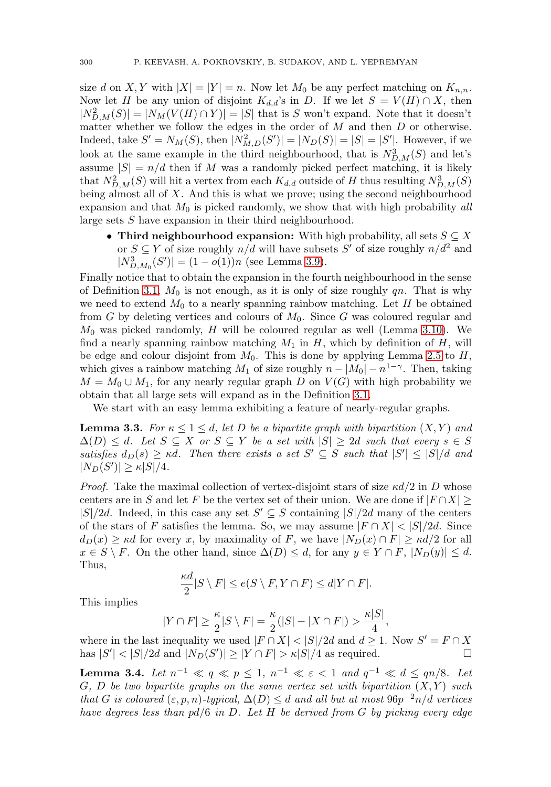size d on X, Y with  $|X| = |Y| = n$ . Now let  $M_0$  be any perfect matching on  $K_{n,n}$ . Now let H be any union of disjoint  $K_{d,d}$ 's in D. If we let  $S = V(H) \cap X$ , then  $|N_{D,M}^2(S)| = |N_M(V(H) \cap Y)| = |S|$  that is S won't expand. Note that it doesn't matter whether we follow the edges in the order of  $M$  and then  $D$  or otherwise. Indeed, take  $S' = N_M(S)$ , then  $|N_{M,D}^2(S')| = |N_D(S)| = |S| = |S'|$ . However, if we look at the same example in the third neighbourhood, that is  $N_{D,M}^3(S)$  and let's assume  $|S| = n/d$  then if M was a randomly picked perfect matching, it is likely that  $N_{D,M}^2(S)$  will hit a vertex from each  $K_{d,d}$  outside of H thus resulting  $N_{D,M}^3(S)$ being almost all of X. And this is what we prove; using the second neighbourhood expansion and that  $M_0$  is picked randomly, we show that with high probability all large sets S have expansion in their third neighbourhood.

• **Third neighbourhood expansion:** With high probability, all sets  $S \subseteq X$ or  $S \subseteq Y$  of size roughly  $n/d$  will have subsets S' of size roughly  $n/d^2$  and  $|N_{D,M_0}^3(S')| = (1 - o(1))n$  (see Lemma [3.9\)](#page-15-1).

Finally notice that to obtain the expansion in the fourth neighbourhood in the sense of Definition [3.1,](#page-10-1)  $M_0$  is not enough, as it is only of size roughly  $qn$ . That is why we need to extend  $M_0$  to a nearly spanning rainbow matching. Let  $H$  be obtained from G by deleting vertices and colours of  $M_0$ . Since G was coloured regular and  $M_0$  was picked randomly, H will be coloured regular as well (Lemma [3.10\)](#page-16-0). We find a nearly spanning rainbow matching  $M_1$  in  $H$ , which by definition of  $H$ , will be edge and colour disjoint from  $M_0$ . This is done by applying Lemma [2.5](#page-7-0) to  $H$ , which gives a rainbow matching  $M_1$  of size roughly  $n - |M_0| - n^{1-\gamma}$ . Then, taking  $M = M_0 \cup M_1$ , for any nearly regular graph D on  $V(G)$  with high probability we obtain that all large sets will expand as in the Definition [3.1.](#page-10-1)

We start with an easy lemma exhibiting a feature of nearly-regular graphs.

<span id="page-12-0"></span>**Lemma 3.3.** For  $\kappa \leq 1 \leq d$ , let D be a bipartite graph with bipartition  $(X, Y)$  and  $\Delta(D) \leq d$ . Let  $S \subseteq X$  or  $S \subseteq Y$  be a set with  $|S| \geq 2d$  such that every  $s \in S$ satisfies  $d_D(s) \geq \kappa d$ . Then there exists a set  $S' \subseteq S$  such that  $|S'| \leq |S|/d$  and  $|N_D(S')| \geq \kappa |S|/4.$ 

*Proof.* Take the maximal collection of vertex-disjoint stars of size  $\kappa d/2$  in D whose centers are in S and let F be the vertex set of their union. We are done if  $|F \cap X| \ge$  $|S|/2d$ . Indeed, in this case any set  $S' \subseteq S$  containing  $|S|/2d$  many of the centers of the stars of F satisfies the lemma. So, we may assume  $|F \cap X| < |S|/2d$ . Since  $d_D(x) \geq \kappa d$  for every x, by maximality of F, we have  $|N_D(x) \cap F| \geq \kappa d/2$  for all  $x \in S \setminus F$ . On the other hand, since  $\Delta(D) \leq d$ , for any  $y \in Y \cap F$ ,  $|N_D(y)| \leq d$ . Thus,

$$
\frac{\kappa d}{2}|S\setminus F| \le e(S\setminus F, Y\cap F) \le d|Y\cap F|.
$$

This implies

$$
|Y \cap F| \geq \frac{\kappa}{2}|S \setminus F| = \frac{\kappa}{2}(|S| - |X \cap F|) > \frac{\kappa|S|}{4},
$$

where in the last inequality we used  $|F \cap X| < |S|/2d$  and  $d \geq 1$ . Now  $S' = F \cap X$ has  $|S'| < |S|/2d$  and  $|N_D(S')| \ge |Y \cap F| > \kappa |S|/4$  as required.  $\Box$ 

<span id="page-12-1"></span>**Lemma 3.4.** Let  $n^{-1} \ll q \ll p \leq 1$ ,  $n^{-1} \ll \varepsilon < 1$  and  $q^{-1} \ll d \leq qn/8$ . Let G, D be two bipartite graphs on the same vertex set with bipartition  $(X, Y)$  such that G is coloured  $(\varepsilon, p, n)$ -typical,  $\Delta(D) \leq d$  and all but at most  $96p^{-2}n/d$  vertices have degrees less than  $pd/6$  in D. Let H be derived from G by picking every edge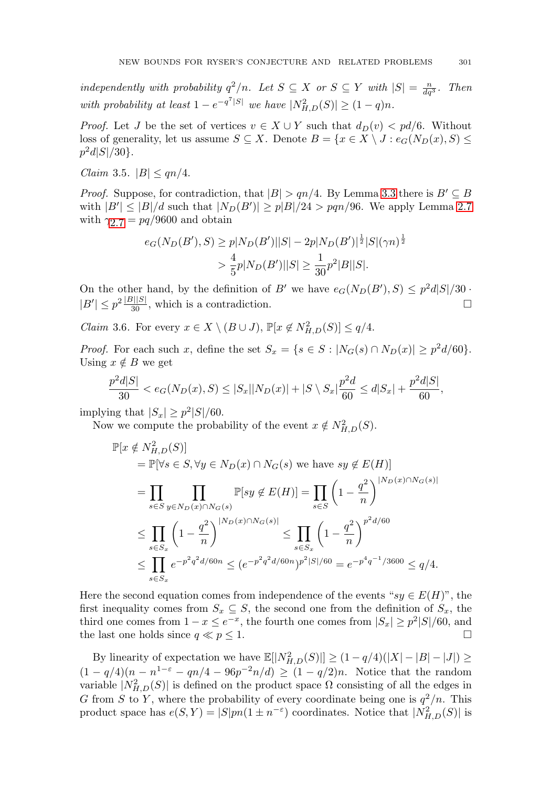independently with probability  $q^2/n$ . Let  $S \subseteq X$  or  $S \subseteq Y$  with  $|S| = \frac{n}{dq^3}$ . Then with probability at least  $1 - e^{-q^7|S|}$  we have  $|N_{H,D}^2(S)| \ge (1-q)n$ .

*Proof.* Let J be the set of vertices  $v \in X \cup Y$  such that  $d_D(v) < pd/6$ . Without loss of generality, let us assume  $S \subseteq X$ . Denote  $B = \{x \in X \setminus J : e_G(N_D(x), S) \leq$  $p^2d|S|/30$ .

*Claim* 3.5.  $|B| < qn/4$ .

*Proof.* Suppose, for contradiction, that  $|B| > qn/4$ . By Lemma [3.3](#page-12-0) there is  $B' \subseteq B$ with  $|B'| \leq |B|/d$  such that  $|N_D(B')| \geq p|B|/24 > pqn/96$ . We apply Lemma [2.7](#page-9-1) with  $\gamma_2$   $\tau = pq/9600$  and obtain

$$
e_G(N_D(B'), S) \ge p|N_D(B')||S| - 2p|N_D(B')|^{\frac{1}{2}}|S|(\gamma n)^{\frac{1}{2}}
$$
  
>  $\frac{4}{5}p|N_D(B')||S| \ge \frac{1}{30}p^2|B||S|$ .

On the other hand, by the definition of B' we have  $e_G(N_D(B'), S) \leq p^2 d|S|/30$ .  $|B'| \leq p^2 \frac{|B||S|}{30}$ , which is a contradiction.  $\Box$ 

*Claim* 3.6. For every  $x \in X \setminus (B \cup J)$ ,  $\mathbb{P}[x \notin N_{H,D}^2(S)] \leq q/4$ .

*Proof.* For each such x, define the set  $S_x = \{s \in S : |N_G(s) \cap N_D(x)| \geq p^2 d/60\}.$ Using  $x \notin B$  we get

$$
\frac{p^2d|S|}{30} < e_G(N_D(x), S) \le |S_x||N_D(x)| + |S \setminus S_x|\frac{p^2d}{60} \le d|S_x| + \frac{p^2d|S|}{60},
$$

implying that  $|S_x| \geq p^2|S|/60$ .

Now we compute the probability of the event  $x \notin N_{H,D}^2(S)$ .

$$
\mathbb{P}[x \notin N_{H,D}^{2}(S)]
$$
\n
$$
= \mathbb{P}[\forall s \in S, \forall y \in N_{D}(x) \cap N_{G}(s) \text{ we have } sy \notin E(H)]
$$
\n
$$
= \prod_{s \in S} \prod_{y \in N_{D}(x) \cap N_{G}(s)} \mathbb{P}[sy \notin E(H)] = \prod_{s \in S} \left(1 - \frac{q^{2}}{n}\right)^{|N_{D}(x) \cap N_{G}(s)|}
$$
\n
$$
\leq \prod_{s \in S_{x}} \left(1 - \frac{q^{2}}{n}\right)^{|N_{D}(x) \cap N_{G}(s)|} \leq \prod_{s \in S_{x}} \left(1 - \frac{q^{2}}{n}\right)^{p^{2}d/60}
$$
\n
$$
\leq \prod_{s \in S_{x}} e^{-p^{2}q^{2}d/60n} \leq (e^{-p^{2}q^{2}d/60n})^{p^{2}|S|/60} = e^{-p^{4}q^{-1}/3600} \leq q/4.
$$

Here the second equation comes from independence of the events " $sy \in E(H)$ ", the first inequality comes from  $S_x \subseteq S$ , the second one from the definition of  $S_x$ , the third one comes from  $1 - x \le e^{-x}$ , the fourth one comes from  $|S_x| \ge p^2|S|/60$ , and the last one holds since  $q \ll p \leq 1$ .  $\Box$ 

By linearity of expectation we have  $\mathbb{E}[|N_{H,D}^2(S)|] \geq (1 - q/4)(|X| - |B| - |J|) \geq$  $(1 - q/4)(n - n^{1-\epsilon} - qn/4 - 96p^{-2}n/d) \ge (1 - q/2)n$ . Notice that the random variable  $|N_{H,D}^2(S)|$  is defined on the product space  $\Omega$  consisting of all the edges in G from S to Y, where the probability of every coordinate being one is  $q^2/n$ . This product space has  $e(S, Y) = |S|pn(1 \pm n^{-\epsilon})$  coordinates. Notice that  $|N_{H,D}^2(S)|$  is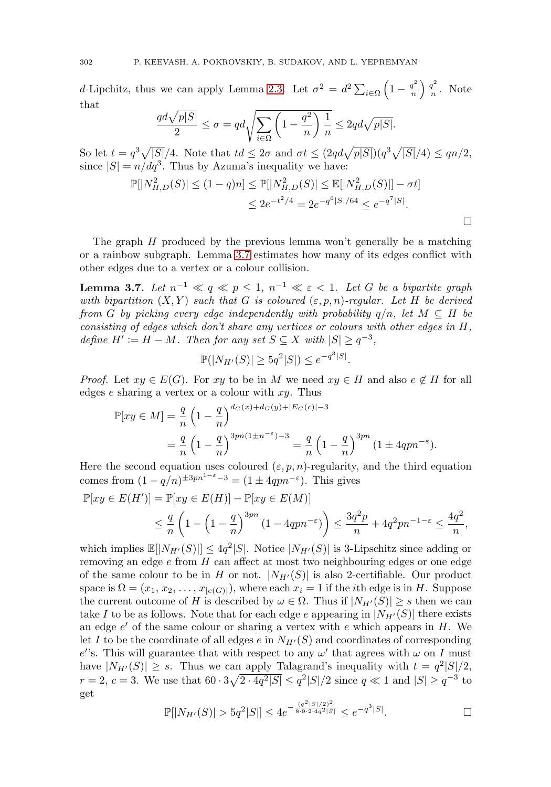d-Lipchitz, thus we can apply Lemma [2.3.](#page-7-1) Let  $\sigma^2 = d^2 \sum_{i \in \Omega}$  $\left(1-\frac{q^2}{n}\right)\frac{q^2}{n}$ . Note that

$$
\frac{qd\sqrt{p|S|}}{2} \le \sigma = qd\sqrt{\sum_{i\in\Omega} \left(1 - \frac{q^2}{n}\right) \frac{1}{n}} \le 2qd\sqrt{p|S|}.
$$

So let  $t = q^3 \sqrt{|S|}/4$ . Note that  $td \leq 2\sigma$  and  $\sigma t \leq (2qd\sqrt{p|S|})(q^3\sqrt{|S|}/4) \leq qn/2$ , since  $|S| = n/dq^3$ . Thus by Azuma's inequality we have:

$$
\mathbb{P}[|N_{H,D}^2(S)| \le (1-q)n] \le \mathbb{P}[|N_{H,D}^2(S)| \le \mathbb{E}[|N_{H,D}^2(S)|] - \sigma t]
$$
  

$$
\le 2e^{-t^2/4} = 2e^{-q^6|S|/64} \le e^{-q^7|S|}.
$$

 $\Box$ 

The graph  $H$  produced by the previous lemma won't generally be a matching or a rainbow subgraph. Lemma [3.7](#page-14-0) estimates how many of its edges conflict with other edges due to a vertex or a colour collision.

<span id="page-14-0"></span>**Lemma 3.7.** Let  $n^{-1} \ll q \ll p \leq 1$ ,  $n^{-1} \ll \varepsilon < 1$ . Let G be a bipartite graph with bipartition  $(X, Y)$  such that G is coloured  $(\varepsilon, p, n)$ -regular. Let H be derived from G by picking every edge independently with probability  $q/n$ , let  $M \subseteq H$  be consisting of edges which don't share any vertices or colours with other edges in H, define  $H' := H - M$ . Then for any set  $S \subseteq X$  with  $|S| \geq q^{-3}$ ,

$$
\mathbb{P}(|N_{H'}(S)|\geq 5q^2|S|)\leq e^{-q^3|S|}.
$$

*Proof.* Let  $xy \in E(G)$ . For  $xy$  to be in M we need  $xy \in H$  and also  $e \notin H$  for all edges  $e$  sharing a vertex or a colour with  $xy$ . Thus

$$
\mathbb{P}[xy \in M] = \frac{q}{n} \left(1 - \frac{q}{n}\right)^{d_G(x) + d_G(y) + |E_G(c)| - 3}
$$
  
= 
$$
\frac{q}{n} \left(1 - \frac{q}{n}\right)^{3pn(1 \pm n^{-\epsilon}) - 3} = \frac{q}{n} \left(1 - \frac{q}{n}\right)^{3pn} (1 \pm 4qpn^{-\epsilon}).
$$

Here the second equation uses coloured  $(\varepsilon, p, n)$ -regularity, and the third equation comes from  $(1 - q/n)^{\pm 3pn^{1-\epsilon}-3} = (1 \pm 4qpn^{-\epsilon})$ . This gives

$$
\mathbb{P}[xy \in E(H')] = \mathbb{P}[xy \in E(H)] - \mathbb{P}[xy \in E(M)]
$$
  

$$
\leq \frac{q}{n} \left(1 - \left(1 - \frac{q}{n}\right)^{3pn} \left(1 - 4qpn^{-\varepsilon}\right)\right) \leq \frac{3q^2p}{n} + 4q^2pn^{-1-\varepsilon} \leq \frac{4q^2}{n},
$$

which implies  $\mathbb{E}[|N_{H'}(S)|] \leq 4q^2|S|$ . Notice  $|N_{H'}(S)|$  is 3-Lipschitz since adding or removing an edge  $e$  from  $H$  can affect at most two neighbouring edges or one edge of the same colour to be in H or not.  $|N_{H'}(S)|$  is also 2-certifiable. Our product space is  $\Omega = (x_1, x_2, \ldots, x_{|e(G)|})$ , where each  $x_i = 1$  if the *i*th edge is in H. Suppose the current outcome of H is described by  $\omega \in \Omega$ . Thus if  $|N_{H'}(S)| \geq s$  then we can take I to be as follows. Note that for each edge e appearing in  $|N_{H'}(S)|$  there exists an edge  $e'$  of the same colour or sharing a vertex with  $e$  which appears in  $H$ . We let I to be the coordinate of all edges  $e$  in  $N_{H'}(S)$  and coordinates of corresponding e''s. This will guarantee that with respect to any  $\omega'$  that agrees with  $\omega$  on I must have  $|N_{H'}(S)| \geq s$ . Thus we can apply Talagrand's inequality with  $t = q^2|S|/2$ ,  $r = 2, c = 3$ . We use that  $60 \cdot 3\sqrt{2 \cdot 4q^2|S|} \leq q^2|S|/2$  since  $q \ll 1$  and  $|S| \geq q^{-3}$  to get

$$
\mathbb{P}[|N_{H'}(S)| > 5q^2|S|] \le 4e^{-\frac{(q^2|S|/2)^2}{8\cdot 9\cdot 2\cdot 4q^2|S|}} \le e^{-q^3|S|}.
$$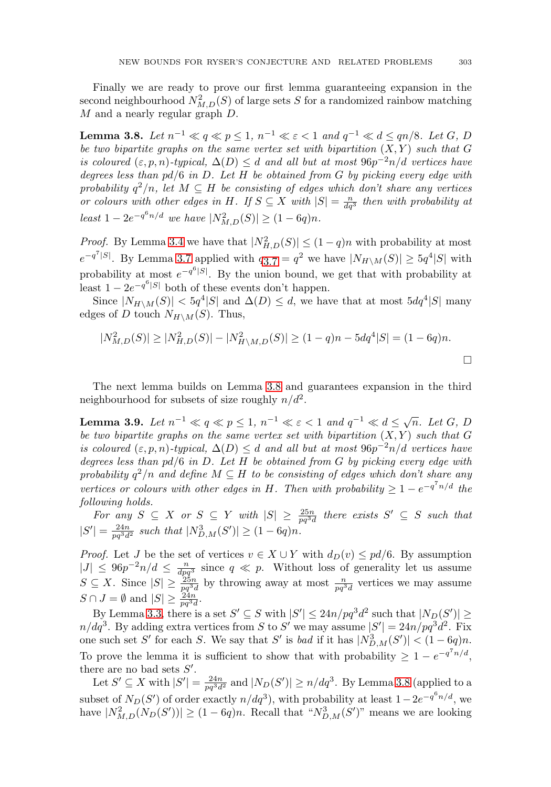Finally we are ready to prove our first lemma guaranteeing expansion in the second neighbourhood  $N_{M,D}^2(S)$  of large sets S for a randomized rainbow matching M and a nearly regular graph D.

<span id="page-15-0"></span>**Lemma 3.8.** Let  $n^{-1} \ll q \ll p \leq 1$ ,  $n^{-1} \ll \varepsilon < 1$  and  $q^{-1} \ll d \leq qn/8$ . Let G, D be two bipartite graphs on the same vertex set with bipartition  $(X, Y)$  such that G is coloured  $(\varepsilon, p, n)$ -typical,  $\Delta(D) \leq d$  and all but at most  $96p^{-2}n/d$  vertices have degrees less than  $pd/6$  in D. Let H be obtained from G by picking every edge with probability  $q^2/n$ , let  $M \subseteq H$  be consisting of edges which don't share any vertices or colours with other edges in H. If  $S \subseteq X$  with  $|S| = \frac{n}{dq^3}$  then with probability at least  $1 - 2e^{-q^6 n/d}$  we have  $|N^2_{M,D}(S)| \ge (1 - 6q)n$ .

*Proof.* By Lemma [3.4](#page-12-1) we have that  $|N_{H,D}^2(S)| \le (1-q)n$  with probability at most  $e^{-q^7|S|}$ . By Lemma [3.7](#page-14-0) applied with  $q_{3.7} = q^2$  $q_{3.7} = q^2$  $q_{3.7} = q^2$  we have  $|N_{H\setminus M}(S)| \geq 5q^4|S|$  with probability at most  $e^{-q^6|S|}$ . By the union bound, we get that with probability at least  $1 - 2e^{-q^{6}|S|}$  both of these events don't happen.

Since  $|N_{H\setminus M}(S)| < 5q^4|S|$  and  $\Delta(D) \leq d$ , we have that at most  $5dq^4|S|$  many edges of D touch  $N_{H\setminus M}(S)$ . Thus,

$$
|N_{M,D}^2(S)| \ge |N_{H,D}^2(S)| - |N_{H\setminus M,D}^2(S)| \ge (1-q)n - 5dq^4|S| = (1-6q)n.
$$

The next lemma builds on Lemma [3.8](#page-15-0) and guarantees expansion in the third neighbourhood for subsets of size roughly  $n/d^2$ .

<span id="page-15-1"></span>**Lemma 3.9.** Let  $n^{-1} \ll q \ll p \leq 1$ ,  $n^{-1} \ll \varepsilon \leq 1$  and  $q^{-1} \ll d \leq \sqrt{n}$ . Let G, D be two bipartite graphs on the same vertex set with bipartition  $(X, Y)$  such that G is coloured  $(\varepsilon, p, n)$ -typical,  $\Delta(D) \leq d$  and all but at most 96p<sup>-2</sup>n/d vertices have degrees less than  $pd/6$  in D. Let H be obtained from G by picking every edge with probability  $q^2/n$  and define  $M \subseteq H$  to be consisting of edges which don't share any vertices or colours with other edges in H. Then with probability  $\geq 1 - e^{-q^7 n/d}$  the following holds.

For any  $S \subseteq X$  or  $S \subseteq Y$  with  $|S| \geq \frac{25n}{pq^3d}$  there exists  $S' \subseteq S$  such that  $|S'| = \frac{24n}{pq^3d^2}$  such that  $|N^3_{D,M}(S')| \ge (1-6q)n$ .

*Proof.* Let J be the set of vertices  $v \in X \cup Y$  with  $d_D(v) \leq pd/6$ . By assumption  $|J| \leq 96p^{-2}n/d \leq \frac{n}{dpq^3}$  since  $q \ll p$ . Without loss of generality let us assume  $S \subseteq X$ . Since  $|S| \geq \frac{25n}{pq^3d}$  by throwing away at most  $\frac{n}{pq^3d}$  vertices we may assume  $S \cap J = \emptyset$  and  $|S| \geq \frac{\overline{24}n}{pq^3d}$ .

By Lemma [3.3,](#page-12-0) there is a set  $S' \subseteq S$  with  $|S'| \leq 24n/pq^3d^2$  such that  $|N_D(S')| \geq$  $n/dq^3$ . By adding extra vertices from S to S' we may assume  $|S'| = 24n/pq^3d^2$ . Fix one such set S' for each S. We say that S' is bad if it has  $|N_{D,M}^3(S')| < (1-6q)n$ . To prove the lemma it is sufficient to show that with probability  $\geq 1 - e^{-q^7 n/d}$ , there are no bad sets  $S'$ .

Let  $S' \subseteq X$  with  $|S'| = \frac{24n}{pq^3d^2}$  and  $|N_D(S')| \ge n/dq^3$ . By Lemma [3.8](#page-15-0) (applied to a subset of  $N_D(S')$  of order exactly  $n/dq^3$ ), with probability at least  $1-2e^{-q^6n/d}$ , we have  $|N_{M,D}^2(N_D(S'))| \ge (1-6q)n$ . Recall that " $N_{D,M}^3(S')$ " means we are looking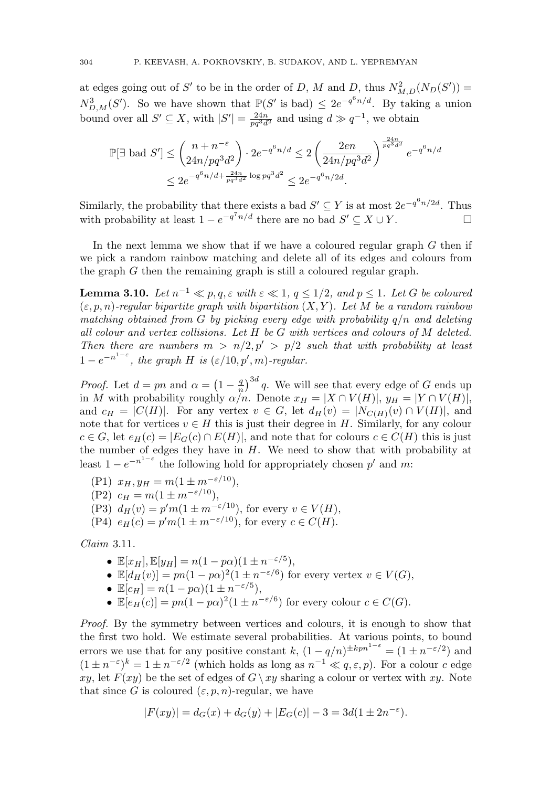at edges going out of S' to be in the order of D, M and D, thus  $N_{M,D}^2(N_D(S'))$  =  $N_{D,M}^3(S')$ . So we have shown that  $\mathbb{P}(S' \text{ is bad}) \leq 2e^{-q^6n/d}$ . By taking a union bound over all  $S' \subseteq X$ , with  $|S'| = \frac{24n}{pq^3d^2}$  and using  $d \gg q^{-1}$ , we obtain

$$
\mathbb{P}[\exists \text{ bad } S'] \le {n + n^{-\varepsilon} \choose 24n/pq^3d^2} \cdot 2e^{-q^6n/d} \le 2\left(\frac{2en}{24n/pq^3d^2}\right)^{\frac{24n}{pq^3d^2}} e^{-q^6n/d}
$$
  

$$
\le 2e^{-q^6n/d + \frac{24n}{pq^3d^2}\log pq^3d^2} \le 2e^{-q^6n/2d}.
$$

Similarly, the probability that there exists a bad  $S' \subseteq Y$  is at most  $2e^{-q^6 n/2d}$ . Thus with probability at least  $1 - e^{-q^T n/d}$  there are no bad  $S' \subseteq X \cup Y$ .

In the next lemma we show that if we have a coloured regular graph  $G$  then if we pick a random rainbow matching and delete all of its edges and colours from the graph G then the remaining graph is still a coloured regular graph.

<span id="page-16-0"></span>**Lemma 3.10.** Let  $n^{-1} \ll p, q, \varepsilon$  with  $\varepsilon \ll 1, q \leq 1/2$ , and  $p \leq 1$ . Let G be coloured  $(\varepsilon, p, n)$ -regular bipartite graph with bipartition  $(X, Y)$ . Let M be a random rainbow matching obtained from G by picking every edge with probability  $q/n$  and deleting all colour and vertex collisions. Let H be G with vertices and colours of M deleted. Then there are numbers  $m > n/2, p' > p/2$  such that with probability at least  $1-e^{-n^{1-\varepsilon}}$ , the graph H is  $(\varepsilon/10, p', m)$ -regular.

*Proof.* Let  $d = pn$  and  $\alpha = \left(1 - \frac{q}{n}\right)^{3d} q$ . We will see that every edge of G ends up in M with probability roughly  $\alpha/n$ . Denote  $x_H = |X \cap V(H)|$ ,  $y_H = |Y \cap V(H)|$ , and  $c_H = |C(H)|$ . For any vertex  $v \in G$ , let  $d_H(v) = |N_{C(H)}(v) \cap V(H)|$ , and note that for vertices  $v \in H$  this is just their degree in H. Similarly, for any colour  $c \in G$ , let  $e_H(c) = |E_G(c) \cap E(H)|$ , and note that for colours  $c \in C(H)$  this is just the number of edges they have in  $H$ . We need to show that with probability at least  $1 - e^{-n^{1-\epsilon}}$  the following hold for appropriately chosen p' and m:

- (P1)  $x_H, y_H = m(1 \pm m^{-\varepsilon/10}),$
- (P2)  $c_H = m(1 \pm m^{-\epsilon/10}),$
- (P3)  $d_H(v) = p'm(1 \pm m^{-\varepsilon/10})$ , for every  $v \in V(H)$ ,
- (P4)  $e_H(c) = p'm(1 \pm m^{-\varepsilon/10})$ , for every  $c \in C(H)$ .

Claim 3.11.

- $\mathbb{E}[x_H], \mathbb{E}[y_H] = n(1 p\alpha)(1 \pm n^{-\epsilon/5}),$
- $\mathbb{E}[d_H(v)] = pn(1 p\alpha)^2(1 \pm n^{-\epsilon/6})$  for every vertex  $v \in V(G)$ ,
- $\mathbb{E}[c_H] = n(1 p\alpha)(1 \pm n^{-\epsilon/5}),$
- $\mathbb{E}[e_H(c)] = pn(1 p\alpha)^2(1 \pm n^{-\epsilon/6})$  for every colour  $c \in C(G)$ .

Proof. By the symmetry between vertices and colours, it is enough to show that the first two hold. We estimate several probabilities. At various points, to bound errors we use that for any positive constant k,  $(1 - q/n)^{\pm k p n^{1-\epsilon}} = (1 \pm n^{-\epsilon/2})$  and  $(1 \pm n^{-\varepsilon})^k = 1 \pm n^{-\varepsilon/2}$  (which holds as long as  $n^{-1} \ll q, \varepsilon, p$ ). For a colour c edge  $xy$ , let  $F(xy)$  be the set of edges of  $G \setminus xy$  sharing a colour or vertex with  $xy$ . Note that since G is coloured  $(\varepsilon, p, n)$ -regular, we have

$$
|F(xy)| = d_G(x) + d_G(y) + |E_G(c)| - 3 = 3d(1 \pm 2n^{-\varepsilon}).
$$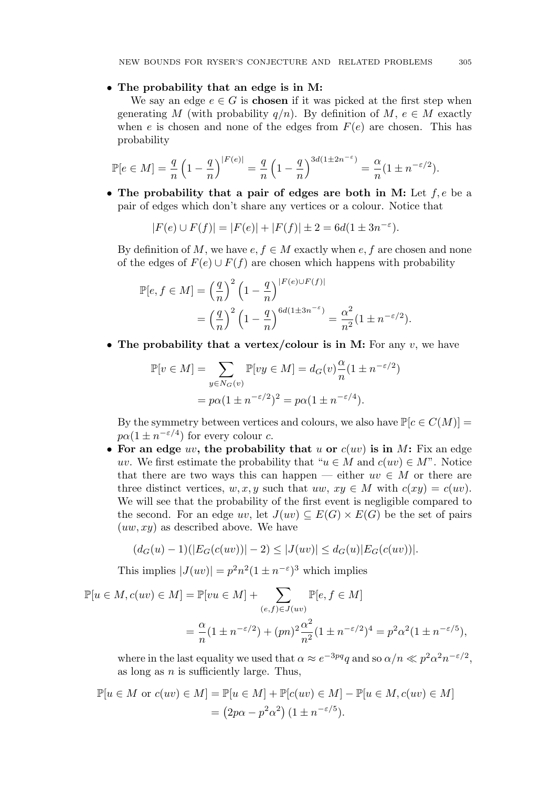# • **The probability that an edge is in M:**

We say an edge  $e \in G$  is **chosen** if it was picked at the first step when generating M (with probability  $q/n$ ). By definition of M,  $e \in M$  exactly when e is chosen and none of the edges from  $F(e)$  are chosen. This has probability

$$
\mathbb{P}[e \in M] = \frac{q}{n} \left(1 - \frac{q}{n}\right)^{|F(e)|} = \frac{q}{n} \left(1 - \frac{q}{n}\right)^{3d(1 \pm 2n^{-\varepsilon})} = \frac{\alpha}{n} (1 \pm n^{-\varepsilon/2}).
$$

• **The probability that a pair of edges are both in M:** Let f,e be a pair of edges which don't share any vertices or a colour. Notice that

$$
|F(e) \cup F(f)| = |F(e)| + |F(f)| \pm 2 = 6d(1 \pm 3n^{-\varepsilon}).
$$

By definition of M, we have  $e, f \in M$  exactly when  $e, f$  are chosen and none of the edges of  $F(e) \cup F(f)$  are chosen which happens with probability

$$
\mathbb{P}[e, f \in M] = \left(\frac{q}{n}\right)^2 \left(1 - \frac{q}{n}\right)^{|F(e) \cup F(f)|}
$$

$$
= \left(\frac{q}{n}\right)^2 \left(1 - \frac{q}{n}\right)^{6d(1 \pm 3n^{-\epsilon})} = \frac{\alpha^2}{n^2} (1 \pm n^{-\epsilon/2}).
$$

• **The probability that a vertex/colour is in M:** For any v, we have

$$
\mathbb{P}[v \in M] = \sum_{y \in N_G(v)} \mathbb{P}[vy \in M] = d_G(v)\frac{\alpha}{n}(1 \pm n^{-\epsilon/2})
$$

$$
= p\alpha(1 \pm n^{-\epsilon/2})^2 = p\alpha(1 \pm n^{-\epsilon/4}).
$$

By the symmetry between vertices and colours, we also have  $\mathbb{P}[c \in C(M)] =$  $p\alpha(1 \pm n^{-\epsilon/4})$  for every colour c.

• For an edge  $uv$ , the probability that  $u$  or  $c(uv)$  is in  $M$ : Fix an edge uv. We first estimate the probability that " $u \in M$  and  $c(uv) \in M$ ". Notice that there are two ways this can happen — either  $uv \in M$  or there are three distinct vertices, w, x, y such that uw,  $xy \in M$  with  $c(xy) = c(uv)$ . We will see that the probability of the first event is negligible compared to the second. For an edge uv, let  $J(uv) \subseteq E(G) \times E(G)$  be the set of pairs  $(uw, xy)$  as described above. We have

$$
(d_G(u) - 1)(|E_G(c(uv))| - 2) \le |J(uv)| \le d_G(u)|E_G(c(uv))|.
$$

This implies  $|J(uv)| = p^2n^2(1 \pm n^{-\epsilon})^3$  which implies

$$
\mathbb{P}[u \in M, c(uv) \in M] = \mathbb{P}[vu \in M] + \sum_{(e,f) \in J(uv)} \mathbb{P}[e, f \in M]
$$
  
= 
$$
\frac{\alpha}{n} (1 \pm n^{-\epsilon/2}) + (pn)^2 \frac{\alpha^2}{n^2} (1 \pm n^{-\epsilon/2})^4 = p^2 \alpha^2 (1 \pm n^{-\epsilon/5}),
$$

where in the last equality we used that  $\alpha \approx e^{-3pq}q$  and so  $\alpha/n \ll p^2\alpha^2n^{-\epsilon/2}$ , as long as  $n$  is sufficiently large. Thus,

$$
\mathbb{P}[u \in M \text{ or } c(uv) \in M] = \mathbb{P}[u \in M] + \mathbb{P}[c(uv) \in M] - \mathbb{P}[u \in M, c(uv) \in M]
$$

$$
= (2p\alpha - p^2\alpha^2) (1 \pm n^{-\varepsilon/5}).
$$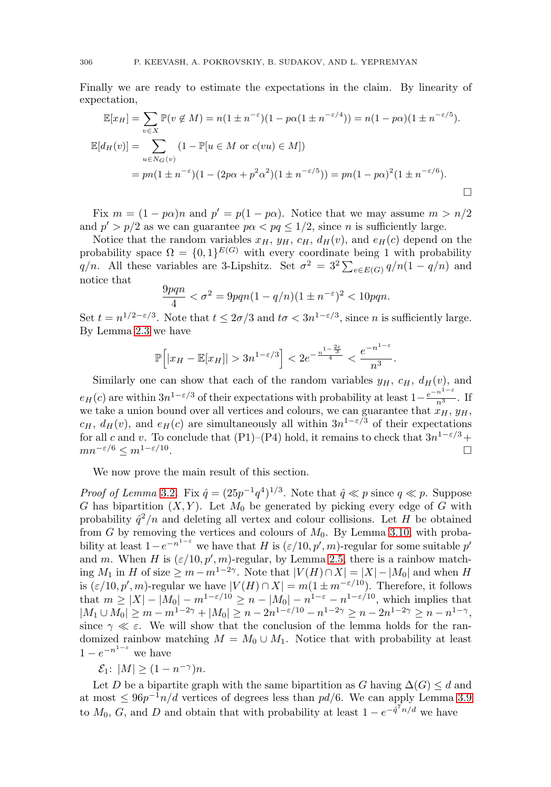Finally we are ready to estimate the expectations in the claim. By linearity of expectation,

$$
\mathbb{E}[x_H] = \sum_{v \in X} \mathbb{P}(v \notin M) = n(1 \pm n^{-\varepsilon})(1 - p\alpha(1 \pm n^{-\varepsilon/4})) = n(1 - p\alpha)(1 \pm n^{-\varepsilon/5}).
$$
  

$$
\mathbb{E}[d_H(v)] = \sum_{u \in N_G(v)} (1 - \mathbb{P}[u \in M \text{ or } c(vu) \in M])
$$
  

$$
= pn(1 \pm n^{-\varepsilon})(1 - (2p\alpha + p^2\alpha^2)(1 \pm n^{-\varepsilon/5})) = pn(1 - p\alpha)^2(1 \pm n^{-\varepsilon/6}).
$$

Fix  $m = (1 - p\alpha)n$  and  $p' = p(1 - p\alpha)$ . Notice that we may assume  $m > n/2$ and  $p' > p/2$  as we can guarantee  $p\alpha < pq \leq 1/2$ , since *n* is sufficiently large.

Notice that the random variables  $x_H$ ,  $y_H$ ,  $c_H$ ,  $d_H(v)$ , and  $e_H(c)$  depend on the probability space  $\Omega = \{0,1\}^{E(G)}$  with every coordinate being 1 with probability  $q/n$ . All these variables are 3-Lipshitz. Set  $\sigma^2 = 3^2 \sum_{e \in E(G)} q/n(1 - q/n)$  and notice that

$$
\frac{9pqn}{4} < \sigma^2 = 9pqn(1 - q/n)(1 \pm n^{-\varepsilon})^2 < 10pqn.
$$

Set  $t = n^{1/2 - \varepsilon/3}$ . Note that  $t \le 2\sigma/3$  and  $t\sigma < 3n^{1-\varepsilon/3}$ , since *n* is sufficiently large. By Lemma [2.3](#page-7-1) we have

$$
\mathbb{P}\Big[|x_H-\mathbb{E}[x_H]|>3n^{1-\varepsilon/3}\Big]<2e^{-\frac{n^{1-\frac{2\varepsilon}{3}}}{4}}<\frac{e^{-n^{1-\varepsilon}}}{n^3}.
$$

Similarly one can show that each of the random variables  $y_H$ ,  $c_H$ ,  $d_H(v)$ , and  $e_H(c)$  are within  $3n^{1-\varepsilon/3}$  of their expectations with probability at least  $1-\frac{e^{-n^{1-\varepsilon}}}{n^3}$ . If we take a union bound over all vertices and colours, we can guarantee that  $x_H$ ,  $y_H$ ,  $c_H$ ,  $d_H(v)$ , and  $e_H(c)$  are simultaneously all within  $3n^{1-\epsilon/3}$  of their expectations for all c and v. To conclude that (P1)–(P4) hold, it remains to check that  $3n^{1-\epsilon/3}$ +  $mn^{-\varepsilon/6} < m^{1-\varepsilon/10}$ .

We now prove the main result of this section.

*Proof of Lemma* [3.2](#page-11-0). Fix  $\hat{q} = (25p^{-1}q^4)^{1/3}$ . Note that  $\hat{q} \ll p$  since  $q \ll p$ . Suppose G has bipartition  $(X, Y)$ . Let  $M_0$  be generated by picking every edge of G with probability  $\hat{q}^2/n$  and deleting all vertex and colour collisions. Let H be obtained from G by removing the vertices and colours of  $M_0$ . By Lemma [3.10,](#page-16-0) with probability at least  $1-e^{-n^{1-\varepsilon}}$  we have that H is  $(\varepsilon/10, p', m)$ -regular for some suitable  $p'$ and m. When H is  $(\varepsilon/10, p', m)$ -regular, by Lemma [2.5,](#page-7-0) there is a rainbow matching  $M_1$  in H of size  $\geq m - m^{1-2\gamma}$ . Note that  $|V(H) \cap X| = |X| - |M_0|$  and when H is  $(\varepsilon/10, p', m)$ -regular we have  $|V(H) \cap X| = m(1 \pm m^{-\varepsilon/10})$ . Therefore, it follows that  $m \geq |X| - |M_0| - m^{1-\varepsilon/10} \geq n - |M_0| - n^{1-\varepsilon} - n^{1-\varepsilon/10}$ , which implies that  $|M_1 \cup M_0| \ge m - m^{1-2\gamma} + |M_0| \ge n - 2n^{1-\varepsilon/10} - n^{1-2\gamma} \ge n - 2n^{1-2\gamma} \ge n - n^{1-\gamma},$ since  $\gamma \ll \varepsilon$ . We will show that the conclusion of the lemma holds for the randomized rainbow matching  $M = M_0 \cup M_1$ . Notice that with probability at least  $1 - e^{-n^{1-\varepsilon}}$  we have

$$
\mathcal{E}_1: |M| \ge (1 - n^{-\gamma})n.
$$

Let D be a bipartite graph with the same bipartition as G having  $\Delta(G) \leq d$  and at most  $\leq 96p^{-1}n/d$  vertices of degrees less than  $pd/6$ . We can apply Lemma [3.9](#page-15-1) to  $M_0$ , G, and D and obtain that with probability at least  $1 - e^{-\hat{q}^T n/d}$  we have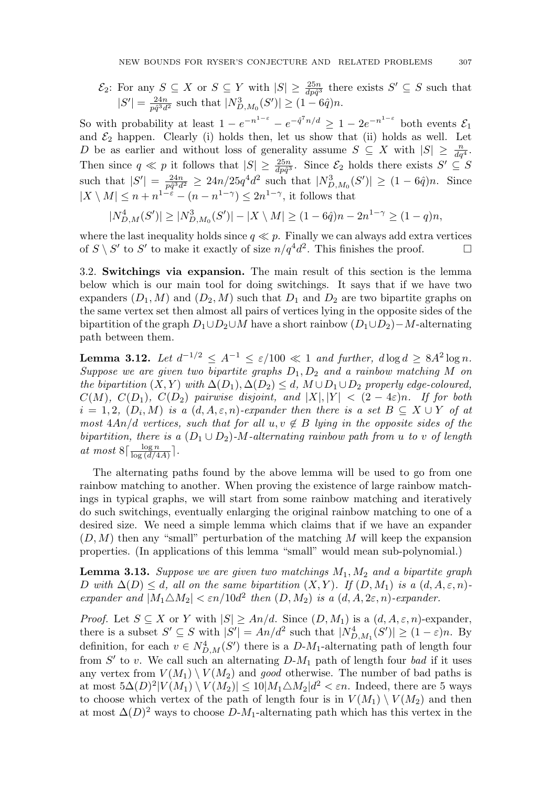$\mathcal{E}_2$ : For any  $S \subseteq X$  or  $S \subseteq Y$  with  $|S| \geq \frac{25n}{dp\hat{q}^3}$  there exists  $S' \subseteq S$  such that  $|S'| = \frac{24n}{p\hat{q}^3 d^2}$  such that  $|N_{D,M_0}^3(S')| \ge (1 - 6\hat{q})n$ .

So with probability at least  $1 - e^{-n^{1-\epsilon}} - e^{-\hat{q}^T n/d} \ge 1 - 2e^{-n^{1-\epsilon}}$  both events  $\mathcal{E}_1$ and  $\mathcal{E}_2$  happen. Clearly (i) holds then, let us show that (ii) holds as well. Let D be as earlier and without loss of generality assume  $S \subseteq X$  with  $|S| \geq \frac{n}{dq^4}$ . Then since  $q \ll p$  it follows that  $|S| \geq \frac{25n}{dp\hat{q}^3}$ . Since  $\mathcal{E}_2$  holds there exists  $S' \subseteq S$ such that  $|S'| = \frac{24n}{p\hat{q}^3 d^2} \geq 24n/25q^4 d^2$  such that  $|N^3_{D,M_0}(S')| \geq (1-6\hat{q})n$ . Since  $|X \setminus M| \leq n + n^{1-\varepsilon} - (n - n^{1-\gamma}) \leq 2n^{1-\gamma}$ , it follows that

$$
|N_{D,M}^4(S')| \ge |N_{D,M_0}^3(S')| - |X \setminus M| \ge (1 - 6\hat{q})n - 2n^{1-\gamma} \ge (1 - q)n,
$$

where the last inequality holds since  $q \ll p$ . Finally we can always add extra vertices of  $S \setminus S'$  to  $S'$  to make it exactly of size  $n/q^4 d^2$ . This finishes the proof.  $\Box$ 

<span id="page-19-0"></span>3.2. **Switchings via expansion.** The main result of this section is the lemma below which is our main tool for doing switchings. It says that if we have two expanders  $(D_1, M)$  and  $(D_2, M)$  such that  $D_1$  and  $D_2$  are two bipartite graphs on the same vertex set then almost all pairs of vertices lying in the opposite sides of the bipartition of the graph  $D_1 \cup D_2 \cup M$  have a short rainbow  $(D_1 \cup D_2)$ −M-alternating path between them.

<span id="page-19-1"></span>**Lemma 3.12.** Let  $d^{-1/2} \leq A^{-1} \leq \varepsilon/100 \ll 1$  and further,  $d \log d \geq 8A^2 \log n$ . Suppose we are given two bipartite graphs  $D_1, D_2$  and a rainbow matching M on the bipartition  $(X, Y)$  with  $\Delta(D_1), \Delta(D_2) \leq d$ ,  $M \cup D_1 \cup D_2$  properly edge-coloured,  $C(M)$ ,  $C(D_1)$ ,  $C(D_2)$  pairwise disjoint, and  $|X|, |Y| < (2 - 4\varepsilon)n$ . If for both  $i = 1, 2, (D_i, M)$  is a  $(d, A, \varepsilon, n)$ -expander then there is a set  $B \subseteq X \cup Y$  of at most  $4An/d$  vertices, such that for all  $u, v \notin B$  lying in the opposite sides of the bipartition, there is a  $(D_1 \cup D_2)$ -M-alternating rainbow path from u to v of length at most  $8\lceil \frac{\log n}{\log (d/4A)} \rceil$ .

The alternating paths found by the above lemma will be used to go from one rainbow matching to another. When proving the existence of large rainbow matchings in typical graphs, we will start from some rainbow matching and iteratively do such switchings, eventually enlarging the original rainbow matching to one of a desired size. We need a simple lemma which claims that if we have an expander  $(D, M)$  then any "small" perturbation of the matching M will keep the expansion properties. (In applications of this lemma "small" would mean sub-polynomial.)

<span id="page-19-2"></span>**Lemma 3.13.** Suppose we are given two matchings  $M_1, M_2$  and a bipartite graph D with  $\Delta(D) \leq d$ , all on the same bipartition  $(X, Y)$ . If  $(D, M_1)$  is a  $(d, A, \varepsilon, n)$ expander and  $|M_1 \triangle M_2| < \varepsilon n/10d^2$  then  $(D, M_2)$  is a  $(d, A, 2\varepsilon, n)$ -expander.

*Proof.* Let  $S \subseteq X$  or Y with  $|S| \geq An/d$ . Since  $(D, M_1)$  is a  $(d, A, \varepsilon, n)$ -expander, there is a subset  $S' \subseteq S$  with  $|S'| = An/d^2$  such that  $|N_{D,M_1}^4(S')| \ge (1 - \varepsilon)n$ . By definition, for each  $v \in N^4_{D,M}(S')$  there is a  $D-M_1$ -alternating path of length four from  $S'$  to v. We call such an alternating  $D-M_1$  path of length four bad if it uses any vertex from  $V(M_1) \setminus V(M_2)$  and good otherwise. The number of bad paths is at most  $5\Delta(D)^2|V(M_1)\setminus V(M_2)|\leq 10|M_1\Delta M_2|d^2\lt \varepsilon n$ . Indeed, there are 5 ways to choose which vertex of the path of length four is in  $V(M_1) \setminus V(M_2)$  and then at most  $\Delta(D)^2$  ways to choose  $D-M_1$ -alternating path which has this vertex in the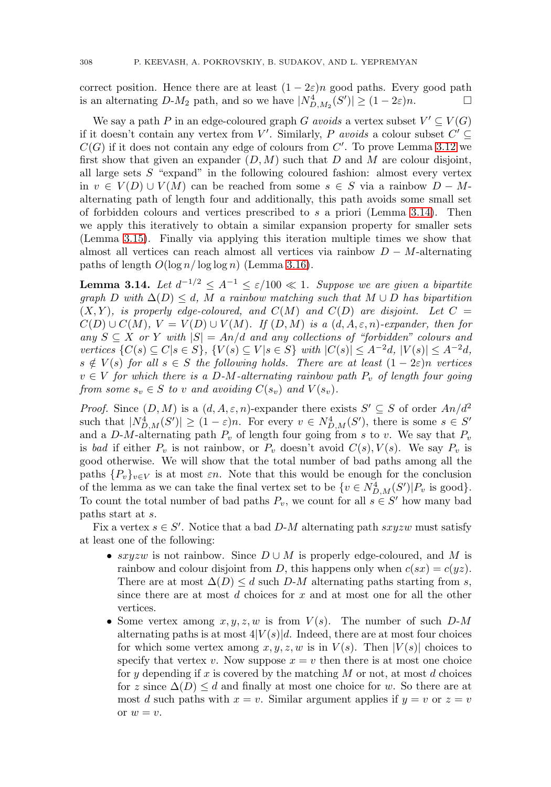correct position. Hence there are at least  $(1 - 2\varepsilon)n$  good paths. Every good path is an alternating  $D-M_2$  path, and so we have  $|N^4_{D,M_2}(S')| \ge (1-2\varepsilon)n$ .

We say a path P in an edge-coloured graph G avoids a vertex subset  $V' \subseteq V(G)$ if it doesn't contain any vertex from V'. Similarly, P avoids a colour subset  $C' \subseteq$  $C(G)$  if it does not contain any edge of colours from  $C'$ . To prove Lemma [3.12](#page-19-1) we first show that given an expander  $(D, M)$  such that D and M are colour disjoint, all large sets  $S$  "expand" in the following coloured fashion: almost every vertex in  $v \in V(D) \cup V(M)$  can be reached from some  $s \in S$  via a rainbow  $D - M$ alternating path of length four and additionally, this path avoids some small set of forbidden colours and vertices prescribed to  $s$  a priori (Lemma [3.14\)](#page-20-0). Then we apply this iteratively to obtain a similar expansion property for smaller sets (Lemma [3.15\)](#page-21-0). Finally via applying this iteration multiple times we show that almost all vertices can reach almost all vertices via rainbow  $D - M$ -alternating paths of length  $O(\log n/\log \log n)$  (Lemma [3.16\)](#page-21-1).

<span id="page-20-0"></span>**Lemma 3.14.** Let  $d^{-1/2} \leq A^{-1} \leq \varepsilon/100 \ll 1$ . Suppose we are given a bipartite graph D with  $\Delta(D) \leq d$ , M a rainbow matching such that  $M \cup D$  has bipartition  $(X, Y)$ , is properly edge-coloured, and  $C(M)$  and  $C(D)$  are disjoint. Let  $C =$  $C(D) \cup C(M)$ ,  $V = V(D) \cup V(M)$ . If  $(D, M)$  is a  $(d, A, \varepsilon, n)$ -expander, then for any  $S \subseteq X$  or Y with  $|S| = An/d$  and any collections of "forbidden" colours and vertices  $\{C(s) \subseteq C | s \in S\}$ ,  $\{V(s) \subseteq V | s \in S\}$  with  $|C(s)| \leq A^{-2}d$ ,  $|V(s)| \leq A^{-2}d$ ,  $s \notin V(s)$  for all  $s \in S$  the following holds. There are at least  $(1 - 2\varepsilon)n$  vertices  $v \in V$  for which there is a D-M-alternating rainbow path  $P_v$  of length four going from some  $s_v \in S$  to v and avoiding  $C(s_v)$  and  $V(s_v)$ .

*Proof.* Since  $(D, M)$  is a  $(d, A, \varepsilon, n)$ -expander there exists  $S' \subseteq S$  of order  $An/d^2$ such that  $|N_{D,M}^4(S')| \ge (1-\varepsilon)n$ . For every  $v \in N_{D,M}^4(S')$ , there is some  $s \in S'$ and a D-M-alternating path  $P_v$  of length four going from s to v. We say that  $P_v$ is bad if either  $P_v$  is not rainbow, or  $P_v$  doesn't avoid  $C(s)$ ,  $V(s)$ . We say  $P_v$  is good otherwise. We will show that the total number of bad paths among all the paths  ${P_v}_{v\in V}$  is at most  $\varepsilon n$ . Note that this would be enough for the conclusion of the lemma as we can take the final vertex set to be  $\{v \in N^4_{D,M}(S') | P_v \text{ is good}\}.$ To count the total number of bad paths  $P_v$ , we count for all  $s \in S'$  how many bad paths start at s.

Fix a vertex  $s \in S'$ . Notice that a bad D-M alternating path  $sxyzw$  must satisfy at least one of the following:

- sxyzw is not rainbow. Since  $D \cup M$  is properly edge-coloured, and M is rainbow and colour disjoint from D, this happens only when  $c(sx) = c(yz)$ . There are at most  $\Delta(D) \leq d$  such D-M alternating paths starting from s, since there are at most  $d$  choices for  $x$  and at most one for all the other vertices.
- Some vertex among  $x, y, z, w$  is from  $V(s)$ . The number of such D-M alternating paths is at most  $4|V(s)|d$ . Indeed, there are at most four choices for which some vertex among  $x, y, z, w$  is in  $V(s)$ . Then  $|V(s)|$  choices to specify that vertex v. Now suppose  $x = v$  then there is at most one choice for y depending if x is covered by the matching  $M$  or not, at most d choices for z since  $\Delta(D) \leq d$  and finally at most one choice for w. So there are at most d such paths with  $x = v$ . Similar argument applies if  $y = v$  or  $z = v$ or  $w = v$ .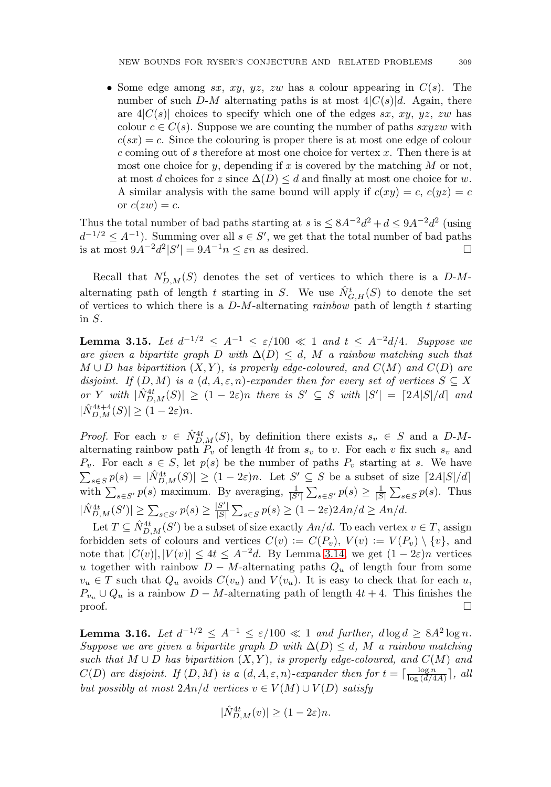• Some edge among sx, xy, yz, zw has a colour appearing in  $C(s)$ . The number of such D-M alternating paths is at most  $4|C(s)|d$ . Again, there are  $4|C(s)|$  choices to specify which one of the edges sx, xy, yz, zw has colour  $c \in C(s)$ . Suppose we are counting the number of paths  $sxyzw$  with  $c(sx) = c$ . Since the colouring is proper there is at most one edge of colour  $c$  coming out of s therefore at most one choice for vertex  $x$ . Then there is at most one choice for y, depending if x is covered by the matching  $M$  or not, at most d choices for z since  $\Delta(D) \leq d$  and finally at most one choice for w. A similar analysis with the same bound will apply if  $c(xy) = c$ ,  $c(yz) = c$ or  $c(zw) = c$ .

Thus the total number of bad paths starting at s is  $\leq 8A^{-2}d^2 + d \leq 9A^{-2}d^2$  (using  $d^{-1/2} \leq A^{-1}$ ). Summing over all  $s \in S'$ , we get that the total number of bad paths is at most  $9A^{-2}d^2|S'| = 9A^{-1}n \leq \varepsilon n$  as desired.  $\Box$ 

Recall that  $N_{D,M}^t(S)$  denotes the set of vertices to which there is a  $D-M$ alternating path of length t starting in S. We use  $\hat{N}_{G,H}^t(S)$  to denote the set of vertices to which there is a  $D-M$ -alternating *rainbow* path of length t starting in S.

<span id="page-21-0"></span>**Lemma 3.15.** Let  $d^{-1/2}$  ≤  $A^{-1}$  ≤  $\varepsilon/100$  ≪ 1 and  $t$  ≤  $A^{-2}d/4$ . Suppose we are given a bipartite graph D with  $\Delta(D) \leq d$ , M a rainbow matching such that  $M \cup D$  has bipartition  $(X, Y)$ , is properly edge-coloured, and  $C(M)$  and  $C(D)$  are disjoint. If  $(D, M)$  is a  $(d, A, \varepsilon, n)$ -expander then for every set of vertices  $S \subseteq X$ or Y with  $|\hat{N}_{D,M}^{4t}(S)| \geq (1-2\varepsilon)n$  there is  $S' \subseteq S$  with  $|S'| = \lceil 2A|S|/d \rceil$  and  $|\hat{N}_{D,M}^{4t+4}(S)| \geq (1-2\varepsilon)n.$ 

*Proof.* For each  $v \in \hat{N}_{D,M}^{4t}(S)$ , by definition there exists  $s_v \in S$  and a  $D-M$ alternating rainbow path  $P_v$  of length 4t from  $s_v$  to v. For each v fix such  $s_v$  and  $P_v$ . For each  $s \in S$ , let  $p(s)$  be the number of paths  $P_v$  starting at s. We have  $\sum_{s\in S} p(s) = |\hat{N}_{D,M}^{4t}(S)| \ge (1-2\varepsilon)n$ . Let  $S' \subseteq S$  be a subset of size  $\lceil 2A|S|/d$ with  $\sum_{s \in S'} p(s)$  maximum. By averaging,  $\frac{1}{|S'|} \sum_{s \in S'} p(s) \ge \frac{1}{|S|} \sum_{s \in S} p(s)$ . Thus  $|\hat{N}_{D,M}^{4t}(S')|\geq \sum_{s\in S'} p(s)\geq \frac{|S'|}{|S|}\sum_{s\in S} p(s)\geq (1-2\varepsilon)2An/d\geq An/d.$ 

Let  $T \subseteq \hat{N}_{D,M}^{4t}(S')$  be a subset of size exactly  $An/d$ . To each vertex  $v \in T$ , assign forbidden sets of colours and vertices  $C(v) := C(P_v), V(v) := V(P_v) \setminus \{v\}$ , and note that  $|C(v)|, |V(v)| \le 4t \le A^{-2}d$ . By Lemma [3.14,](#page-20-0) we get  $(1 - 2\varepsilon)n$  vertices u together with rainbow  $D - M$ -alternating paths  $Q_u$  of length four from some  $v_u \in T$  such that  $Q_u$  avoids  $C(v_u)$  and  $V(v_u)$ . It is easy to check that for each u,  $P_{v_u} \cup Q_u$  is a rainbow  $D - M$ -alternating path of length  $4t + 4$ . This finishes the  $\Box$  $\Box$ 

<span id="page-21-1"></span>**Lemma 3.16.** Let  $d^{-1/2} \leq A^{-1} \leq \varepsilon/100 \ll 1$  and further,  $d \log d \geq 8A^2 \log n$ . Suppose we are given a bipartite graph D with  $\Delta(D) \leq d$ , M a rainbow matching such that  $M \cup D$  has bipartition  $(X, Y)$ , is properly edge-coloured, and  $C(M)$  and  $C(D)$  are disjoint. If  $(D, M)$  is a  $(d, A, \varepsilon, n)$ -expander then for  $t = \lceil \frac{\log n}{\log (d/4A)} \rceil$ , all but possibly at most  $2An/d$  vertices  $v \in V(M) \cup V(D)$  satisfy

$$
|\hat{N}_{D,M}^{4t}(v)| \ge (1 - 2\varepsilon)n.
$$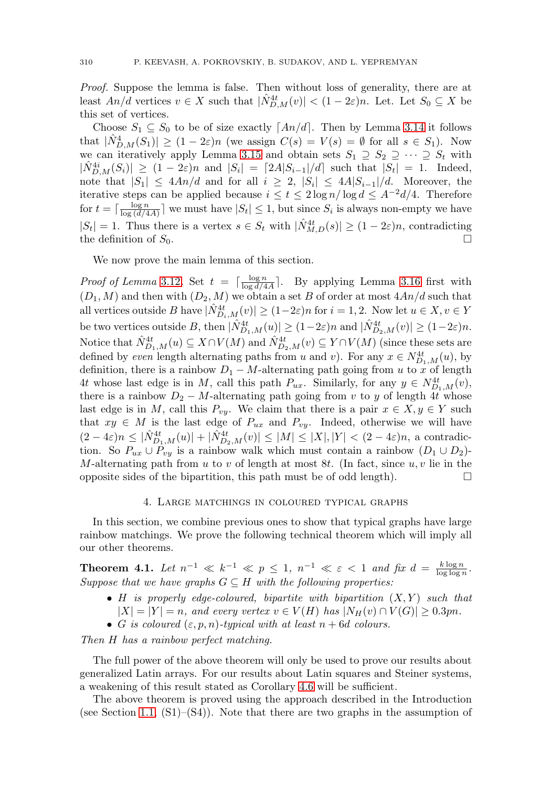Proof. Suppose the lemma is false. Then without loss of generality, there are at least  $An/d$  vertices  $v \in X$  such that  $|\hat{N}_{D,M}^{4t}(v)| < (1-2\varepsilon)n$ . Let. Let  $S_0 \subseteq X$  be this set of vertices.

Choose  $S_1 \subseteq S_0$  to be of size exactly  $[An/d]$ . Then by Lemma [3.14](#page-20-0) it follows that  $|\hat{N}_{D,M}^4(S_1)| \ge (1-2\varepsilon)n$  (we assign  $C(s) = V(s) = \emptyset$  for all  $s \in S_1$ ). Now we can iteratively apply Lemma [3.15](#page-21-0) and obtain sets  $S_1 \supseteq S_2 \supseteq \cdots \supseteq S_t$  with  $|\hat{N}_{D,M}^{4i}(S_i)| \geq (1-2\varepsilon)n$  and  $|S_i| = |2A|S_{i-1}|/d$  such that  $|S_t| = 1$ . Indeed, note that  $|S_1| \leq 4An/d$  and for all  $i \geq 2$ ,  $|S_i| \leq 4A|S_{i-1}|/d$ . Moreover, the iterative steps can be applied because  $i \le t \le 2 \log n / \log d \le A^{-2} d/4$ . Therefore for  $t = \lceil \frac{\log n}{\log (d/4A)} \rceil$  we must have  $|S_t| \leq 1$ , but since  $S_i$  is always non-empty we have  $|S_t| = 1$ . Thus there is a vertex  $s \in S_t$  with  $|\hat{N}_{M,D}^{4t}(s)| \geq (1 - 2\varepsilon)n$ , contradicting the definition of  $S_0$ .

We now prove the main lemma of this section.

*Proof of Lemma* [3.12](#page-19-1). Set  $t = \lceil \frac{\log n}{\log d/4A} \rceil$ . By applying Lemma [3.16](#page-21-1) first with  $(D_1, M)$  and then with  $(D_2, M)$  we obtain a set B of order at most  $4An/d$  such that all vertices outside B have  $|\hat{N}_{D_i,M}^{4t}(v)| \ge (1-2\varepsilon)n$  for  $i=1,2$ . Now let  $u \in X, v \in Y$ be two vertices outside B, then  $|\hat{N}_{D_1,M}^{4t}(u)| \ge (1-2\varepsilon)n$  and  $|\hat{N}_{D_2,M}^{4t}(v)| \ge (1-2\varepsilon)n$ . Notice that  $\hat{N}_{D_1,M}^{4t}(u) \subseteq X \cap V(M)$  and  $\hat{N}_{D_2,M}^{4t}(v) \subseteq Y \cap V(M)$  (since these sets are defined by even length alternating paths from u and v). For any  $x \in N_{D_1,M}^{4t}(u)$ , by definition, there is a rainbow  $D_1 - M$ -alternating path going from u to x of length 4t whose last edge is in M, call this path  $P_{ux}$ . Similarly, for any  $y \in N_{D_1,M}^{4t}(v)$ , there is a rainbow  $D_2 - M$ -alternating path going from v to y of length 4t whose last edge is in M, call this  $P_{vy}$ . We claim that there is a pair  $x \in X, y \in Y$  such that  $xy \in M$  is the last edge of  $P_{ux}$  and  $P_{vy}$ . Indeed, otherwise we will have  $(2-4\varepsilon)n \leq |\hat{N}_{D_1,M}^{4t}(u)| + |\hat{N}_{D_2,M}^{4t}(v)| \leq |M| \leq |X|, |Y| < (2-4\varepsilon)n$ , a contradiction. So  $P_{ux} \cup P_{vy}$  is a rainbow walk which must contain a rainbow  $(D_1 \cup D_2)$ -M-alternating path from  $u$  to  $v$  of length at most 8t. (In fact, since  $u, v$  lie in the opposite sides of the bipartition, this path must be of odd length). - $\Box$ 

# 4. Large matchings in coloured typical graphs

<span id="page-22-0"></span>In this section, we combine previous ones to show that typical graphs have large rainbow matchings. We prove the following technical theorem which will imply all our other theorems.

<span id="page-22-1"></span>**Theorem 4.1.** Let  $n^{-1} \ll k^{-1} \ll p \leq 1$ ,  $n^{-1} \ll \varepsilon < 1$  and fix  $d = \frac{k \log n}{\log \log n}$ . Suppose that we have graphs  $G \subseteq H$  with the following properties:

- H is properly edge-coloured, bipartite with bipartition  $(X, Y)$  such that  $|X| = |Y| = n$ , and every vertex  $v \in V(H)$  has  $|N_H(v) \cap V(G)| \geq 0.3pn$ .
- G is coloured  $(\varepsilon, p, n)$ -typical with at least  $n + 6d$  colours.

Then H has a rainbow perfect matching.

The full power of the above theorem will only be used to prove our results about generalized Latin arrays. For our results about Latin squares and Steiner systems, a weakening of this result stated as Corollary [4.6](#page-26-0) will be sufficient.

The above theorem is proved using the approach described in the Introduction (see Section [1.1,](#page-3-1)  $(S1)–(S4)$ ). Note that there are two graphs in the assumption of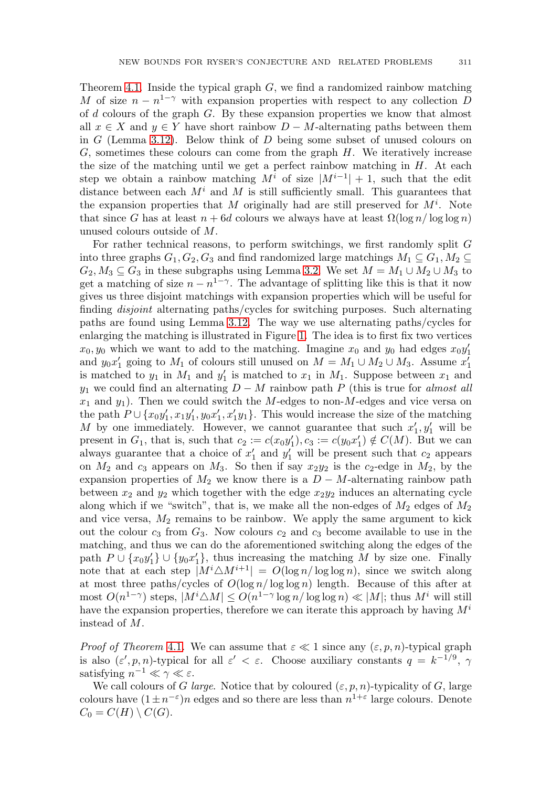Theorem [4.1.](#page-22-1) Inside the typical graph  $G$ , we find a randomized rainbow matching M of size  $n - n^{1-\gamma}$  with expansion properties with respect to any collection D of d colours of the graph G. By these expansion properties we know that almost all  $x \in X$  and  $y \in Y$  have short rainbow  $D - M$ -alternating paths between them in G (Lemma [3.12\)](#page-19-1). Below think of  $D$  being some subset of unused colours on  $G$ , sometimes these colours can come from the graph  $H$ . We iteratively increase the size of the matching until we get a perfect rainbow matching in  $H$ . At each step we obtain a rainbow matching  $M^i$  of size  $|M^{i-1}| + 1$ , such that the edit distance between each  $M^i$  and M is still sufficiently small. This guarantees that the expansion properties that M originally had are still preserved for  $M^i$ . Note that since G has at least  $n + 6d$  colours we always have at least  $\Omega(\log n / \log \log n)$ unused colours outside of M.

For rather technical reasons, to perform switchings, we first randomly split  $G$ into three graphs  $G_1, G_2, G_3$  and find randomized large matchings  $M_1 \subseteq G_1, M_2 \subseteq$  $G_2, M_3 \subseteq G_3$  in these subgraphs using Lemma [3.2.](#page-11-0) We set  $M = M_1 \cup M_2 \cup M_3$  to get a matching of size  $n - n^{1-\gamma}$ . The advantage of splitting like this is that it now gives us three disjoint matchings with expansion properties which will be useful for finding disjoint alternating paths/cycles for switching purposes. Such alternating paths are found using Lemma [3.12.](#page-19-1) The way we use alternating paths/cycles for enlarging the matching is illustrated in Figure [1.](#page-26-1) The idea is to first fix two vertices  $x_0, y_0$  which we want to add to the matching. Imagine  $x_0$  and  $y_0$  had edges  $x_0y'_1$ and  $y_0x'_1$  going to  $M_1$  of colours still unused on  $M = M_1 \cup M_2 \cup M_3$ . Assume  $x'_1$ is matched to  $y_1$  in  $M_1$  and  $y_1'$  is matched to  $x_1$  in  $M_1$ . Suppose between  $x_1$  and  $y_1$  we could find an alternating  $D - M$  rainbow path P (this is true for almost all  $x_1$  and  $y_1$ ). Then we could switch the M-edges to non-M-edges and vice versa on the path  $P \cup \{x_0y_1', x_1y_1', y_0x_1', x_1'y_1\}$ . This would increase the size of the matching M by one immediately. However, we cannot guarantee that such  $x'_1, y'_1$  will be present in  $G_1$ , that is, such that  $c_2 := c(x_0y'_1), c_3 := c(y_0x'_1) \notin C(M)$ . But we can always guarantee that a choice of  $x'_1$  and  $y'_1$  will be present such that  $c_2$  appears on  $M_2$  and  $c_3$  appears on  $M_3$ . So then if say  $x_2y_2$  is the  $c_2$ -edge in  $M_2$ , by the expansion properties of  $M_2$  we know there is a  $D - M$ -alternating rainbow path between  $x_2$  and  $y_2$  which together with the edge  $x_2y_2$  induces an alternating cycle along which if we "switch", that is, we make all the non-edges of  $M_2$  edges of  $M_2$ and vice versa,  $M_2$  remains to be rainbow. We apply the same argument to kick out the colour  $c_3$  from  $G_3$ . Now colours  $c_2$  and  $c_3$  become available to use in the matching, and thus we can do the aforementioned switching along the edges of the path  $P \cup \{x_0y_1'\} \cup \{y_0x_1'\}$ , thus increasing the matching M by size one. Finally note that at each step  $|M^i \triangle M^{i+1}| = O(\log n / \log \log n)$ , since we switch along at most three paths/cycles of  $O(\log n / \log \log n)$  length. Because of this after at most  $O(n^{1-\gamma})$  steps,  $|M^i \triangle M| \leq O(n^{1-\gamma} \log n / \log \log n) \ll |M|$ ; thus  $M^i$  will still have the expansion properties, therefore we can iterate this approach by having  $M^i$ instead of M.

*Proof of Theorem [4.1](#page-22-1).* We can assume that  $\varepsilon \ll 1$  since any  $(\varepsilon, p, n)$ -typical graph is also  $(\varepsilon', p, n)$ -typical for all  $\varepsilon' < \varepsilon$ . Choose auxiliary constants  $q = k^{-1/9}, \gamma$ satisfying  $n^{-1} \ll \gamma \ll \varepsilon$ .

We call colours of G large. Notice that by coloured  $(\varepsilon, p, n)$ -typicality of G, large colours have  $(1 \pm n^{-\epsilon})n$  edges and so there are less than  $n^{1+\epsilon}$  large colours. Denote  $C_0 = C(H) \setminus C(G).$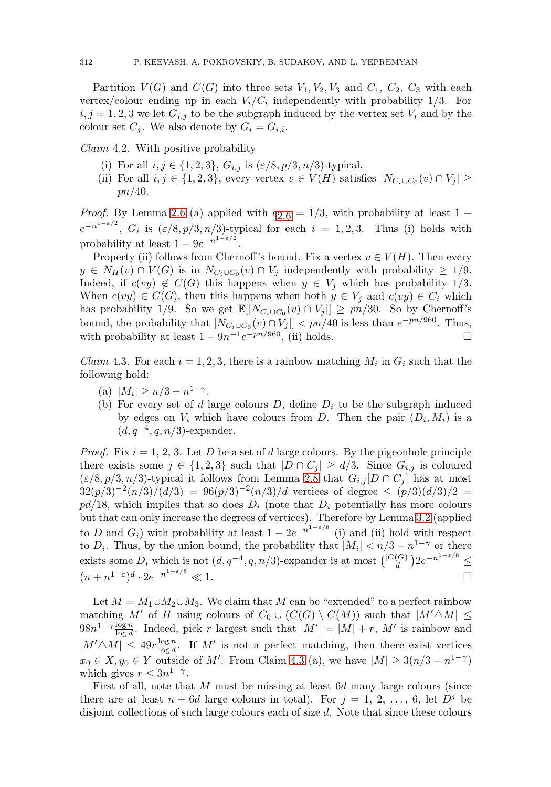Partition  $V(G)$  and  $C(G)$  into three sets  $V_1, V_2, V_3$  and  $C_1, C_2, C_3$  with each vertex/colour ending up in each  $V_i/C_i$  independently with probability 1/3. For  $i, j = 1, 2, 3$  we let  $G_{i,j}$  to be the subgraph induced by the vertex set  $V_i$  and by the colour set  $C_j$ . We also denote by  $G_i = G_{i,i}$ .

Claim 4.2. With positive probability

- (i) For all  $i, j \in \{1, 2, 3\}$ ,  $G_{i,j}$  is  $(\varepsilon/8, p/3, n/3)$ -typical.
- (ii) For all  $i, j \in \{1, 2, 3\}$ , every vertex  $v \in V(H)$  satisfies  $|N_{C_i \cup C_0}(v) \cap V_i| \geq$ pn/40.

*Proof.* By Lemma [2.6](#page-8-0) (a) applied with  $q_{2,6} = 1/3$ , with probability at least 1 −  $e^{-n^{1-\varepsilon/2}}$ ,  $G_i$  is  $(\varepsilon/8, p/3, n/3)$ -typical for each  $i = 1, 2, 3$ . Thus (i) holds with probability at least  $1 - 9e^{-n^{1-\epsilon/2}}$ .

Property (ii) follows from Chernoff's bound. Fix a vertex  $v \in V(H)$ . Then every  $y \in N_H(v) \cap V(G)$  is in  $N_{C_i \cup C_0}(v) \cap V_j$  independently with probability  $\geq 1/9$ . Indeed, if  $c(vy) \notin C(G)$  this happens when  $y \in V_i$  which has probability 1/3. When  $c(vy) \in C(G)$ , then this happens when both  $y \in V_i$  and  $c(vy) \in C_i$  which has probability 1/9. So we get  $\mathbb{E}[|N_{C_i\cup C_0}(v) \cap V_j|] \geq pn/30$ . So by Chernoff's bound, the probability that  $|N_{C_i\cup C_0}(v) \cap V_j|| < pn/40$  is less than  $e^{-pn/960}$ . Thus, with probability at least  $1 - 9n^{-1}e^{-pn/960}$ , (ii) holds.  $\Box$ 

<span id="page-24-0"></span>*Claim* 4.3. For each  $i = 1, 2, 3$ , there is a rainbow matching  $M_i$  in  $G_i$  such that the following hold:

- (a)  $|M_i| \geq n/3 n^{1-\gamma}$ .
- (b) For every set of d large colours  $D$ , define  $D<sub>i</sub>$  to be the subgraph induced by edges on  $V_i$  which have colours from D. Then the pair  $(D_i, M_i)$  is a  $(d, q^{-4}, q, n/3)$ -expander.

*Proof.* Fix  $i = 1, 2, 3$ . Let D be a set of d large colours. By the pigeonhole principle there exists some  $j \in \{1,2,3\}$  such that  $|D \cap C_j| \ge d/3$ . Since  $G_{i,j}$  is coloured  $(\varepsilon/8, p/3, n/3)$ -typical it follows from Lemma [2.8](#page-10-2) that  $G_{i,j}[D \cap C_j]$  has at most  $32(p/3)^{-2}(n/3)/(d/3) = 96(p/3)^{-2}(n/3)/d$  vertices of degree  $\leq (p/3)(d/3)/2$  $pd/18$ , which implies that so does  $D_i$  (note that  $D_i$  potentially has more colours but that can only increase the degrees of vertices). Therefore by Lemma [3.2](#page-11-0) (applied to D and  $G_i$ ) with probability at least  $1 - 2e^{-n^{1-\epsilon/8}}$  (i) and (ii) hold with respect to  $D_i$ . Thus, by the union bound, the probability that  $|M_i| < n/3 - n^{1-\gamma}$  or there exists some  $D_i$  which is not  $(d, q^{-4}, q, n/3)$ -expander is at most  $\binom{|C(G)|}{d} 2e^{-n^{1-\epsilon/8}} \le$  $(n + n^{1-\varepsilon})^d \cdot 2e^{-n^{1-\varepsilon/8}} \ll 1.$  $\ll 1.$ 

Let  $M = M_1 \cup M_2 \cup M_3$ . We claim that M can be "extended" to a perfect rainbow matching M' of H using colours of  $C_0 \cup (C(G) \setminus C(M))$  such that  $|M' \triangle M| \leq$  $98n^{1-\gamma} \frac{\log n}{\log d}$ . Indeed, pick r largest such that  $|M'| = |M| + r$ , M' is rainbow and  $|M' \triangle M| \leq 49r \frac{\log n}{\log d}$ . If M' is not a perfect matching, then there exist vertices  $x_0 \in X, y_0 \in Y$  outside of M'. From Claim [4.3](#page-24-0) (a), we have  $|M| \geq 3(n/3 - n^{1-\gamma})$ which gives  $r \leq 3n^{1-\gamma}$ .

First of all, note that M must be missing at least 6d many large colours (since there are at least  $n + 6d$  large colours in total). For  $j = 1, 2, ..., 6$ , let  $D<sup>j</sup>$  be disjoint collections of such large colours each of size d. Note that since these colours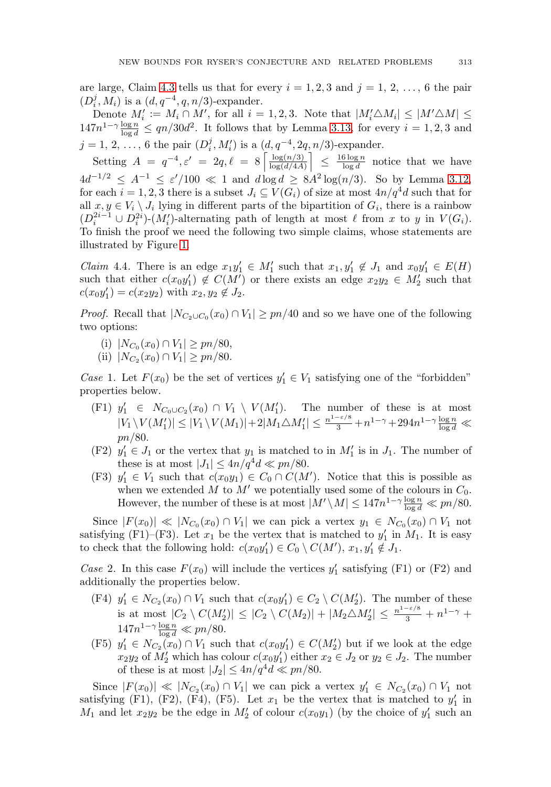are large, Claim [4.3](#page-24-0) tells us that for every  $i = 1, 2, 3$  and  $j = 1, 2, \ldots, 6$  the pair  $(D_i^j, M_i)$  is a  $(d, q^{-4}, q, n/3)$ -expander.

Denote  $M'_i := M_i \cap M'$ , for all  $i = 1, 2, 3$ . Note that  $|M'_i \triangle M_i| \leq |M' \triangle M| \leq$  $147n^{1-\gamma} \frac{\log n}{\log d} \le qn/30d^2$ . It follows that by Lemma [3.13,](#page-19-2) for every  $i = 1, 2, 3$  and  $j = 1, 2, ..., 6$  the pair  $(D_i^j, M_i')$  is a  $(d, q^{-4}, 2q, n/3)$ -expander.

Setting  $A = q^{-4}, \varepsilon' = 2q, \ell = 8 \left[ \frac{\log(n/3)}{\log(d/4A)} \right] \le \frac{16 \log n}{\log d}$  notice that we have  $4d^{-1/2} \leq A^{-1} \leq \varepsilon'/100 \ll 1$  and  $d \log d \geq 8A^2 \log(n/3)$ . So by Lemma [3.12,](#page-19-1) for each  $i = 1, 2, 3$  there is a subset  $J_i \subseteq V(G_i)$  of size at most  $4n/q^4d$  such that for all  $x, y \in V_i \setminus J_i$  lying in different parts of the bipartition of  $G_i$ , there is a rainbow  $(D_i^{2i-1} \cup D_i^{2i})$ - $(M'_i)$ -alternating path of length at most  $\ell$  from x to y in  $V(G_i)$ . To finish the proof we need the following two simple claims, whose statements are illustrated by Figure [1.](#page-26-1)

<span id="page-25-0"></span>*Claim* 4.4. There is an edge  $x_1y_1' \in M_1'$  such that  $x_1, y_1' \notin J_1$  and  $x_0y_1' \in E(H)$ such that either  $c(x_0y'_1) \notin C(M')$  or there exists an edge  $x_2y_2 \in M'_2$  such that  $c(x_0y'_1) = c(x_2y_2)$  with  $x_2, y_2 \notin J_2$ .

*Proof.* Recall that  $|N_{C_2\cup C_0}(x_0) \cap V_1| \geq pn/40$  and so we have one of the following two options:

- (i)  $|N_{C_0}(x_0) \cap V_1| \geq pn/80$ ,
- (ii)  $|N_{C_2}(x_0) \cap V_1| > pn/80$ .

Case 1. Let  $F(x_0)$  be the set of vertices  $y'_1 \in V_1$  satisfying one of the "forbidden" properties below.

- $(F1)$   $y'_1 \in N_{C_0 \cup C_2}(x_0) \cap V_1 \setminus V(M'_1)$ . The number of these is at most  $|V_1 \backslash V(M'_1)| \leq |V_1 \backslash V(M_1)| + 2|M_1 \triangle M'_1| \leq \frac{n^{1-\varepsilon/8}}{3} + n^{1-\gamma} + 294 n^{1-\gamma} \frac{\log n}{\log d} \ll 1$ pn/80.
- (F2)  $y'_1 \in J_1$  or the vertex that  $y_1$  is matched to in  $M'_1$  is in  $J_1$ . The number of these is at most  $|J_1| \leq 4n/q^4 d \ll pn/80$ .
- (F3)  $y'_1 \in V_1$  such that  $c(x_0y_1) \in C_0 \cap C(M')$ . Notice that this is possible as when we extended M to  $M'$  we potentially used some of the colours in  $C_0$ . However, the number of these is at most  $|M' \setminus M| \leq 147n^{1-\gamma} \frac{\log n}{\log d} \ll pn/80$ .

Since  $|F(x_0)| \ll |N_{C_0}(x_0) \cap V_1|$  we can pick a vertex  $y_1 \in N_{C_0}(x_0) \cap V_1$  not satisfying (F1)–(F3). Let  $x_1$  be the vertex that is matched to  $y'_1$  in  $M_1$ . It is easy to check that the following hold:  $c(x_0y'_1) \in C_0 \setminus C(M')$ ,  $x_1, y'_1 \notin J_1$ .

Case 2. In this case  $F(x_0)$  will include the vertices  $y'_1$  satisfying (F1) or (F2) and additionally the properties below.

- (F4)  $y'_1 \in N_{C_2}(x_0) \cap V_1$  such that  $c(x_0y'_1) \in C_2 \setminus C(M'_2)$ . The number of these is at most  $|C_2 \setminus C(M'_2)| \leq |C_2 \setminus C(M_2)| + |M_2 \triangle M'_2| \leq \frac{n^{1-\varepsilon/8}}{3} + n^{1-\gamma} +$  $147n^{1-\gamma} \frac{\log n}{\log d} \ll pn/80.$
- (F5)  $y'_1 \in N_{C_2}(x_0) \cap V_1$  such that  $c(x_0y'_1) \in C(M'_2)$  but if we look at the edge  $x_2y_2$  of  $M'_2$  which has colour  $c(x_0y'_1)$  either  $x_2 \in J_2$  or  $y_2 \in J_2$ . The number of these is at most  $|J_2| \leq 4n/q^4 d \ll pn/80$ .

Since  $|F(x_0)| \ll |N_{C_2}(x_0) \cap V_1|$  we can pick a vertex  $y'_1 \in N_{C_2}(x_0) \cap V_1$  not satisfying (F1), (F2), (F4), (F5). Let  $x_1$  be the vertex that is matched to  $y'_1$  in  $M_1$  and let  $x_2y_2$  be the edge in  $M_2'$  of colour  $c(x_0y_1)$  (by the choice of  $y_1'$  such an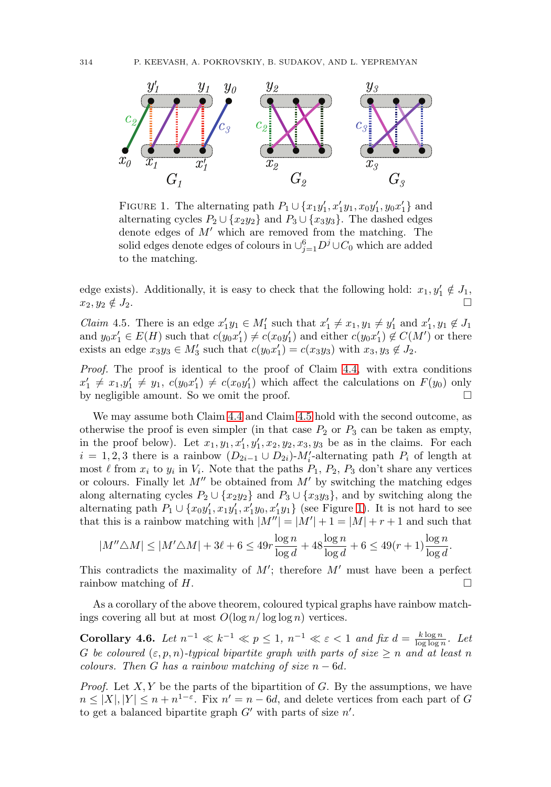

<span id="page-26-1"></span>FIGURE 1. The alternating path  $P_1 \cup \{x_1y_1', x_1'y_1, x_0y_1', y_0x_1'\}$  and alternating cycles  $P_2 \cup \{x_2y_2\}$  and  $P_3 \cup \{x_3y_3\}$ . The dashed edges denote edges of  $M'$  which are removed from the matching. The solid edges denote edges of colours in  $\cup_{j=1}^{6} D^j \cup C_0$  which are added to the matching.

edge exists). Additionally, it is easy to check that the following hold:  $x_1, y'_1 \notin J_1$ ,  $x_2, y_2 \notin J_2.$ 

<span id="page-26-2"></span>*Claim* 4.5. There is an edge  $x'_1y_1 \in M'_1$  such that  $x'_1 \neq x_1, y_1 \neq y'_1$  and  $x'_1, y_1 \notin J_1$ and  $y_0x'_1 \in E(H)$  such that  $c(y_0x'_1) \neq c(x_0y'_1)$  and either  $c(y_0x'_1) \notin C(M')$  or there exists an edge  $x_3y_3 \in M'_3$  such that  $c(y_0x'_1) = c(x_3y_3)$  with  $x_3, y_3 \notin J_2$ .

Proof. The proof is identical to the proof of Claim [4.4,](#page-25-0) with extra conditions  $x_1' \neq x_1, y_1' \neq y_1, c(y_0x_1') \neq c(x_0y_1')$  which affect the calculations on  $F(y_0)$  only by negligible amount. So we omit the proof. - $\Box$ 

We may assume both Claim [4.4](#page-25-0) and Claim [4.5](#page-26-2) hold with the second outcome, as otherwise the proof is even simpler (in that case  $P_2$  or  $P_3$  can be taken as empty, in the proof below). Let  $x_1, y_1, x_1', y_1', x_2, y_2, x_3, y_3$  be as in the claims. For each  $i = 1, 2, 3$  there is a rainbow  $(D_{2i-1} \cup D_{2i})$ - $M'_i$ -alternating path  $P_i$  of length at most  $\ell$  from  $x_i$  to  $y_i$  in  $V_i$ . Note that the paths  $P_1$ ,  $P_2$ ,  $P_3$  don't share any vertices or colours. Finally let  $M''$  be obtained from  $M'$  by switching the matching edges along alternating cycles  $P_2 \cup \{x_2y_2\}$  and  $P_3 \cup \{x_3y_3\}$ , and by switching along the alternating path  $P_1 \cup \{x_0y_1', x_1y_1', x_1'y_0, x_1'y_1\}$  (see Figure [1\)](#page-26-1). It is not hard to see that this is a rainbow matching with  $|M''| = |M'| + 1 = |M| + r + 1$  and such that

$$
|M''\triangle M|\leq |M'\triangle M|+3\ell+6\leq 49r\frac{\log n}{\log d}+48\frac{\log n}{\log d}+6\leq 49(r+1)\frac{\log n}{\log d}.
$$

This contradicts the maximality of  $M'$ ; therefore  $M'$  must have been a perfect rainbow matching of  $H$ .  $\Box$ 

As a corollary of the above theorem, coloured typical graphs have rainbow matchings covering all but at most  $O(\log n / \log \log n)$  vertices.

<span id="page-26-0"></span>**Corollary 4.6.** Let  $n^{-1} \ll k^{-1} \ll p \leq 1$ ,  $n^{-1} \ll \varepsilon < 1$  and fix  $d = \frac{k \log n}{\log \log n}$ . Let G be coloured  $(\varepsilon, p, n)$ -typical bipartite graph with parts of size  $\geq n$  and at least n colours. Then G has a rainbow matching of size  $n - 6d$ .

*Proof.* Let  $X, Y$  be the parts of the bipartition of  $G$ . By the assumptions, we have  $n \leq |X|, |Y| \leq n+n^{1-\varepsilon}$ . Fix  $n'=n-6d$ , and delete vertices from each part of G to get a balanced bipartite graph  $G'$  with parts of size  $n'.$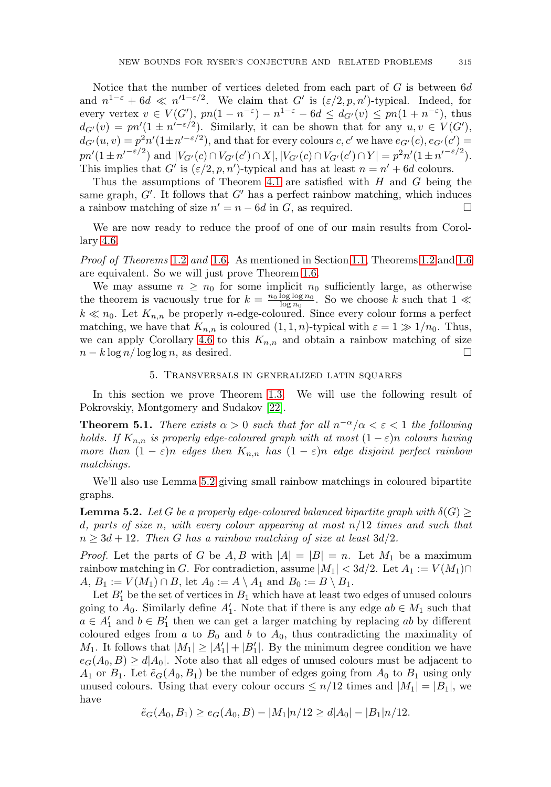Notice that the number of vertices deleted from each part of  $G$  is between  $6d$ and  $n^{1-\epsilon} + 6d \ll n'^{1-\epsilon/2}$ . We claim that G' is  $(\epsilon/2, p, n')$ -typical. Indeed, for every vertex  $v \in V(G')$ ,  $pn(1 - n^{-\epsilon}) - n^{1-\epsilon} - 6d \leq d_{G'}(v) \leq pn(1 + n^{-\epsilon})$ , thus  $d_{G'}(v) = pn'(1 \pm n'^{-\epsilon/2})$ . Similarly, it can be shown that for any  $u, v \in V(G')$ ,  $d_{G'}(u,v) = p^2 n' (1 \pm n'^{-\varepsilon/2})$ , and that for every colours c, c' we have  $e_{G'}(c), e_{G'}(c') =$  $pn'(1 \pm n'^{-\varepsilon/2})$  and  $|V_{G'}(c) \cap V_{G'}(c') \cap X|, |V_{G'}(c) \cap V_{G'}(c') \cap Y| = p^2 n'(1 \pm n'^{-\varepsilon/2}).$ This implies that G' is  $(\varepsilon/2, p, n')$ -typical and has at least  $n = n' + 6d$  colours.

Thus the assumptions of Theorem [4.1](#page-22-1) are satisfied with  $H$  and  $G$  being the same graph,  $G'$ . It follows that  $G'$  has a perfect rainbow matching, which induces a rainbow matching of size  $n' = n - 6d$  in G, as required.  $\Box$  $\Box$ 

We are now ready to reduce the proof of one of our main results from Corollary [4.6.](#page-26-0)

Proof of Theorems [1.2](#page-1-1) and [1.6](#page-3-0). As mentioned in Section [1.1,](#page-3-2) Theorems [1.2](#page-1-1) and [1.6](#page-3-0) are equivalent. So we will just prove Theorem [1.6.](#page-3-0)

We may assume  $n \geq n_0$  for some implicit  $n_0$  sufficiently large, as otherwise the theorem is vacuously true for  $k = \frac{n_0 \log \log n_0}{\log n_0}$ . So we choose k such that  $1 \ll$  $k \ll n_0$ . Let  $K_{n,n}$  be properly *n*-edge-coloured. Since every colour forms a perfect matching, we have that  $K_{n,n}$  is coloured  $(1, 1, n)$ -typical with  $\varepsilon = 1 \gg 1/n_0$ . Thus, we can apply Corollary [4.6](#page-26-0) to this  $K_{n,n}$  and obtain a rainbow matching of size  $n - k \log n / \log \log n$ , as desired.  $\Box$ 

### 5. Transversals in generalized latin squares

In this section we prove Theorem [1.3.](#page-1-2) We will use the following result of Pokrovskiy, Montgomery and Sudakov [\[22\]](#page-33-5).

<span id="page-27-1"></span>**Theorem 5.1.** There exists  $\alpha > 0$  such that for all  $n^{-\alpha}/\alpha < \epsilon < 1$  the following holds. If  $K_{n,n}$  is properly edge-coloured graph with at most  $(1 - \varepsilon)n$  colours having more than  $(1 - \varepsilon)n$  edges then  $K_{n,n}$  has  $(1 - \varepsilon)n$  edge disjoint perfect rainbow matchings.

We'll also use Lemma [5.2](#page-27-0) giving small rainbow matchings in coloured bipartite graphs.

<span id="page-27-0"></span>**Lemma 5.2.** Let G be a properly edge-coloured balanced bipartite graph with  $\delta(G) \geq$ d, parts of size n, with every colour appearing at most  $n/12$  times and such that  $n \geq 3d + 12$ . Then G has a rainbow matching of size at least  $3d/2$ .

*Proof.* Let the parts of G be A, B with  $|A| = |B| = n$ . Let  $M_1$  be a maximum rainbow matching in G. For contradiction, assume  $|M_1| < 3d/2$ . Let  $A_1 := V(M_1) \cap$  $A, B_1 := V(M_1) \cap B$ , let  $A_0 := A \setminus A_1$  and  $B_0 := B \setminus B_1$ .

Let  $B_1'$  be the set of vertices in  $B_1$  which have at least two edges of unused colours going to  $A_0$ . Similarly define  $A'_1$ . Note that if there is any edge  $ab \in M_1$  such that  $a \in A'_1$  and  $b \in B'_1$  then we can get a larger matching by replacing ab by different coloured edges from a to  $B_0$  and b to  $A_0$ , thus contradicting the maximality of  $M_1$ . It follows that  $|M_1| \geq |A'_1| + |B'_1|$ . By the minimum degree condition we have  $e_G(A_0, B) \ge d|A_0|$ . Note also that all edges of unused colours must be adjacent to  $A_1$  or  $B_1$ . Let  $\tilde{e}_G(A_0, B_1)$  be the number of edges going from  $A_0$  to  $B_1$  using only unused colours. Using that every colour occurs  $\leq n/12$  times and  $|M_1| = |B_1|$ , we have

$$
\tilde{e}_G(A_0, B_1) \ge e_G(A_0, B) - |M_1|n/12 \ge d|A_0| - |B_1|n/12.
$$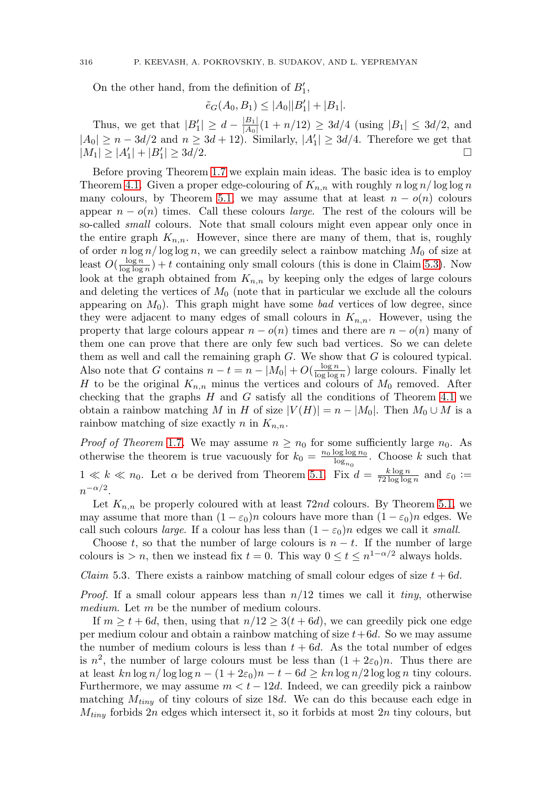On the other hand, from the definition of  $B'_1$ ,

 $\tilde{e}_G(A_0, B_1) \leq |A_0||B'_1| + |B_1|.$ 

Thus, we get that  $|B_1'| \ge d - \frac{|B_1|}{|A_0|}(1 + n/12) \ge 3d/4$  (using  $|B_1| \le 3d/2$ , and  $|A_0| \ge n - 3d/2$  and  $n \ge 3d + 12$ ). Similarly,  $|A'_1| \ge 3d/4$ . Therefore we get that  $|M_1| \ge |A'_1| + |B'_1| \ge 3d/2.$ 

Before proving Theorem [1.7](#page-3-3) we explain main ideas. The basic idea is to employ Theorem [4.1.](#page-22-1) Given a proper edge-colouring of  $K_{n,n}$  with roughly  $n \log n / \log \log n$ many colours, by Theorem [5.1,](#page-27-1) we may assume that at least  $n - o(n)$  colours appear  $n - o(n)$  times. Call these colours *large*. The rest of the colours will be so-called *small* colours. Note that small colours might even appear only once in the entire graph  $K_{n,n}$ . However, since there are many of them, that is, roughly of order  $n \log n / \log \log n$ , we can greedily select a rainbow matching  $M_0$  of size at least  $O(\frac{\log n}{\log \log n}) + t$  containing only small colours (this is done in Claim [5.3\)](#page-28-0). Now look at the graph obtained from  $K_{n,n}$  by keeping only the edges of large colours and deleting the vertices of  $M_0$  (note that in particular we exclude all the colours appearing on  $M_0$ ). This graph might have some *bad* vertices of low degree, since they were adjacent to many edges of small colours in  $K_{n,n}$ . However, using the property that large colours appear  $n - o(n)$  times and there are  $n - o(n)$  many of them one can prove that there are only few such bad vertices. So we can delete them as well and call the remaining graph  $G$ . We show that  $G$  is coloured typical. Also note that G contains  $n - t = n - |M_0| + O(\frac{\log n}{\log \log n})$  large colours. Finally let H to be the original  $K_{n,n}$  minus the vertices and colours of  $M_0$  removed. After checking that the graphs  $H$  and  $G$  satisfy all the conditions of Theorem [4.1](#page-22-1) we obtain a rainbow matching M in H of size  $|V(H)| = n - |M_0|$ . Then  $M_0 \cup M$  is a rainbow matching of size exactly n in  $K_{n,n}$ .

*Proof of Theorem [1.7](#page-3-3).* We may assume  $n \geq n_0$  for some sufficiently large  $n_0$ . As otherwise the theorem is true vacuously for  $k_0 = \frac{n_0 \log \log n_0}{\log_{n_0}}$ . Choose k such that  $1 \ll k \ll n_0$ . Let  $\alpha$  be derived from Theorem [5.1.](#page-27-1) Fix  $d = \frac{k \log n}{72 \log \log n}$  and  $\varepsilon_0 :=$  $n^{-\alpha/2}$ .

Let  $K_{n,n}$  be properly coloured with at least 72nd colours. By Theorem [5.1,](#page-27-1) we may assume that more than  $(1 - \varepsilon_0)n$  colours have more than  $(1 - \varepsilon_0)n$  edges. We call such colours *large*. If a colour has less than  $(1 - \varepsilon_0)n$  edges we call it *small*.

Choose t, so that the number of large colours is  $n - t$ . If the number of large colours is > n, then we instead fix  $t = 0$ . This way  $0 \le t \le n^{1-\alpha/2}$  always holds.

<span id="page-28-0"></span>Claim 5.3. There exists a rainbow matching of small colour edges of size  $t + 6d$ .

*Proof.* If a small colour appears less than  $n/12$  times we call it tiny, otherwise medium. Let m be the number of medium colours.

If  $m \geq t + 6d$ , then, using that  $n/12 \geq 3(t + 6d)$ , we can greedily pick one edge per medium colour and obtain a rainbow matching of size  $t+6d$ . So we may assume the number of medium colours is less than  $t + 6d$ . As the total number of edges is  $n^2$ , the number of large colours must be less than  $(1 + 2\varepsilon_0)n$ . Thus there are at least kn log n/ log log n − (1 + 2 $\varepsilon_0$ )n − t − 6d ≥ kn log n/2 log log n tiny colours. Furthermore, we may assume  $m < t - 12d$ . Indeed, we can greedily pick a rainbow matching  $M_{tiny}$  of tiny colours of size 18d. We can do this because each edge in  $M_{tiny}$  forbids 2n edges which intersect it, so it forbids at most 2n tiny colours, but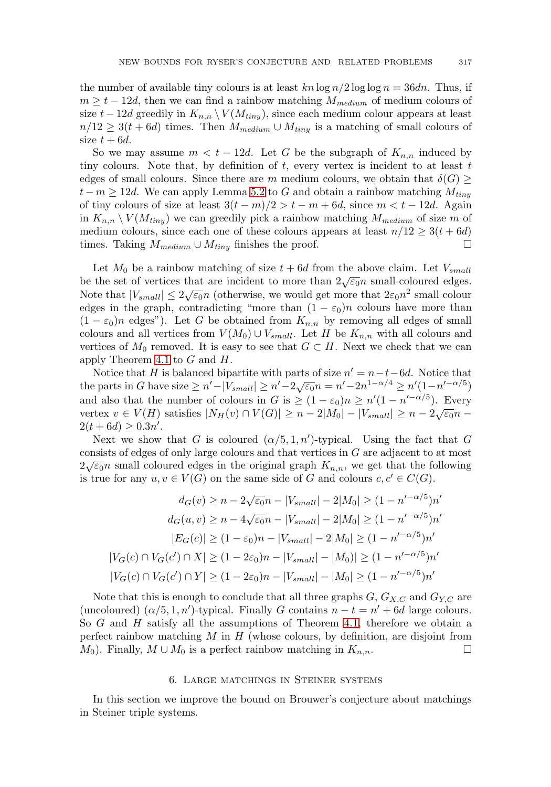the number of available tiny colours is at least  $kn \log n / 2 \log \log n = 36dn$ . Thus, if  $m \geq t - 12d$ , then we can find a rainbow matching  $M_{medium}$  of medium colours of size  $t - 12d$  greedily in  $K_{n,n} \setminus V(M_{tiny})$ , since each medium colour appears at least  $n/12 \geq 3(t+6d)$  times. Then  $M_{medium} \cup M_{tiny}$  is a matching of small colours of size  $t + 6d$ .

So we may assume  $m < t - 12d$ . Let G be the subgraph of  $K_{n,n}$  induced by tiny colours. Note that, by definition of  $t$ , every vertex is incident to at least  $t$ edges of small colours. Since there are m medium colours, we obtain that  $\delta(G) \geq$  $t - m \geq 12d$ . We can apply Lemma [5.2](#page-27-0) to G and obtain a rainbow matching  $M_{tiny}$ of tiny colours of size at least  $3(t - m)/2 > t - m + 6d$ , since  $m < t - 12d$ . Again in  $K_{n,n} \setminus V(M_{tiny})$  we can greedily pick a rainbow matching  $M_{medium}$  of size m of medium colours, since each one of these colours appears at least  $n/12 \geq 3(t+6d)$ times. Taking  $M_{medium} \cup M_{tiny}$  finishes the proof.

Let  $M_0$  be a rainbow matching of size  $t + 6d$  from the above claim. Let  $V_{small}$ be the set of vertices that are incident to more than  $2\sqrt{\varepsilon_0}n$  small-coloured edges. Note that  $|V_{small}| \leq 2\sqrt{\varepsilon_0}n$  (otherwise, we would get more that  $2\varepsilon_0 n^2$  small colour edges in the graph, contradicting "more than  $(1 - \varepsilon_0)n$  colours have more than  $(1 - \varepsilon_0)n$  edges"). Let G be obtained from  $K_{n,n}$  by removing all edges of small colours and all vertices from  $V(M_0) \cup V_{small}$ . Let H be  $K_{n,n}$  with all colours and vertices of  $M_0$  removed. It is easy to see that  $G \subset H$ . Next we check that we can apply Theorem [4.1](#page-22-1) to  $G$  and  $H$ .

Notice that H is balanced bipartite with parts of size  $n' = n - t - 6d$ . Notice that Trottee that *H* is balanced bipartite with parts of size  $n = n - 2n^{1-\alpha/4} \ge n'(1-n'^{-\alpha/5})$ <br>the parts in G have size  $\ge n' - |V_{small}| \ge n' - 2\sqrt{\epsilon_0}n = n' - 2n^{1-\alpha/4} \ge n'(1-n'^{-\alpha/5})$ and also that the number of colours in  $G$  is  $\geq (1 - \varepsilon_0)n \geq n'(1 - n'^{-\alpha/5})$ . Every vertex  $v \in V(H)$  satisfies  $|N_H(v) \cap V(G)| \ge n - 2|M_0| - |V_{small}| \ge n - 2\sqrt{\epsilon_0}n$  $2(t+6d) \ge 0.3n'.$ 

Next we show that G is coloured  $(\alpha/5, 1, n')$ -typical. Using the fact that G consists of edges of only large colours and that vertices in G are adjacent to at most  $2\sqrt{\varepsilon_0}n$  small coloured edges in the original graph  $K_{n,n}$ , we get that the following is true for any  $u, v \in V(G)$  on the same side of G and colours  $c, c' \in C(G)$ .

$$
d_G(v) \ge n - 2\sqrt{\varepsilon_0}n - |V_{small}| - 2|M_0| \ge (1 - n'^{-\alpha/5})n'
$$

$$
d_G(u, v) \ge n - 4\sqrt{\varepsilon_0}n - |V_{small}| - 2|M_0| \ge (1 - n'^{-\alpha/5})n'
$$

$$
|E_G(c)| \ge (1 - \varepsilon_0)n - |V_{small}| - 2|M_0| \ge (1 - n'^{-\alpha/5})n'
$$

$$
|V_G(c) \cap V_G(c') \cap X| \ge (1 - 2\varepsilon_0)n - |V_{small}| - |M_0| \ge (1 - n'^{-\alpha/5})n'
$$

$$
|V_G(c) \cap V_G(c') \cap Y| \ge (1 - 2\varepsilon_0)n - |V_{small}| - |M_0| \ge (1 - n'^{-\alpha/5})n'
$$

Note that this is enough to conclude that all three graphs  $G, G_{X,C}$  and  $G_{Y,C}$  are (uncoloured)  $(\alpha/5, 1, n')$ -typical. Finally G contains  $n - t = n' + 6d$  large colours. So  $G$  and  $H$  satisfy all the assumptions of Theorem [4.1,](#page-22-1) therefore we obtain a perfect rainbow matching  $M$  in  $H$  (whose colours, by definition, are disjoint from  $M_0$ ). Finally,  $M \cup M_0$  is a perfect rainbow matching in  $K_{n,n}$ .

### 6. Large matchings in Steiner systems

<span id="page-29-0"></span>In this section we improve the bound on Brouwer's conjecture about matchings in Steiner triple systems.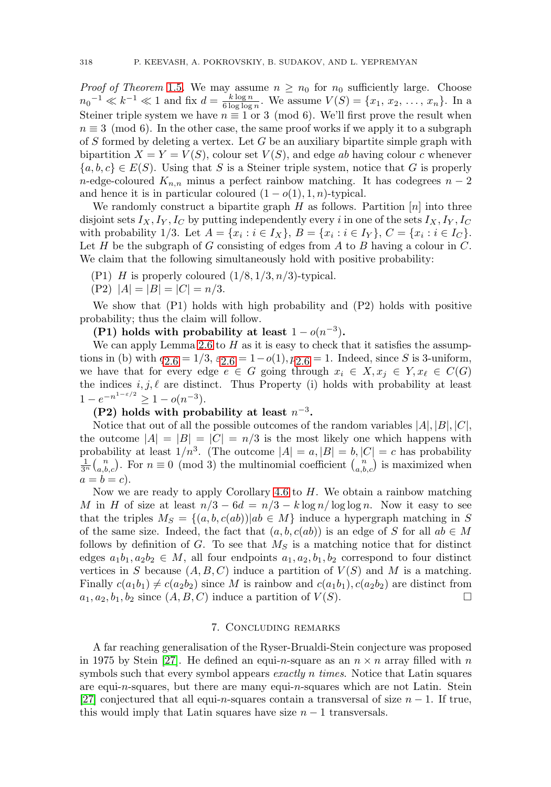*Proof of Theorem* [1.5](#page-2-0). We may assume  $n \geq n_0$  for  $n_0$  sufficiently large. Choose  $n_0^{-1} \ll k^{-1} \ll 1$  and fix  $d = \frac{k \log n}{6 \log \log n}$ . We assume  $V(S) = \{x_1, x_2, \ldots, x_n\}$ . In a Steiner triple system we have  $n \equiv 1$  or 3 (mod 6). We'll first prove the result when  $n \equiv 3 \pmod{6}$ . In the other case, the same proof works if we apply it to a subgraph of S formed by deleting a vertex. Let G be an auxiliary bipartite simple graph with bipartition  $X = Y = V(S)$ , colour set  $V(S)$ , and edge ab having colour c whenever  $\{a, b, c\} \in E(S)$ . Using that S is a Steiner triple system, notice that G is properly n-edge-coloured  $K_{n,n}$  minus a perfect rainbow matching. It has codegrees  $n-2$ and hence it is in particular coloured  $(1 - o(1), 1, n)$ -typical.

We randomly construct a bipartite graph  $H$  as follows. Partition  $[n]$  into three disjoint sets  $I_X, I_Y, I_C$  by putting independently every i in one of the sets  $I_X, I_Y, I_C$ with probability 1/3. Let  $A = \{x_i : i \in I_X\}$ ,  $B = \{x_i : i \in I_Y\}$ ,  $C = \{x_i : i \in I_C\}$ . Let H be the subgraph of G consisting of edges from A to B having a colour in  $C$ . We claim that the following simultaneously hold with positive probability:

- (P1) H is properly coloured  $(1/8, 1/3, n/3)$ -typical.
- $(P2)$   $|A| = |B| = |C| = n/3.$

We show that (P1) holds with high probability and (P2) holds with positive probability; thus the claim will follow.

**(P1)** holds with probability at least  $1 - o(n^{-3})$ .

We can apply Lemma [2.6](#page-8-0) to  $H$  as it is easy to check that it satisfies the assumptions in (b) with  $q_{2,6} = 1/3$ ,  $\varepsilon_{2,6} = 1-o(1)$ ,  $p_{2,6} = 1$ . Indeed, since S is 3-uniform, we have that for every edge  $e \in G$  going through  $x_i \in X, x_j \in Y, x_\ell \in C(G)$ the indices  $i, j, \ell$  are distinct. Thus Property (i) holds with probability at least  $1 - e^{-n^{1-\epsilon/2}} \geq 1 - o(n^{-3}).$ 

# **(P2) holds with probability at least** n−3**.**

Notice that out of all the possible outcomes of the random variables  $|A|, |B|, |C|$ , the outcome  $|A| = |B| = |C| = n/3$  is the most likely one which happens with probability at least  $1/n^3$ . (The outcome  $|A| = a, |B| = b, |C| = c$  has probability  $\frac{1}{3^n} {n \choose a,b,c}$ . For  $n \equiv 0 \pmod{3}$  the multinomial coefficient  ${n \choose a,b,c}$  is maximized when  $a = b = c$ ).

Now we are ready to apply Corollary [4.6](#page-26-0) to  $H$ . We obtain a rainbow matching M in H of size at least  $n/3 - 6d = n/3 - k \log n / \log \log n$ . Now it easy to see that the triples  $M_S = \{(a, b, c(ab)) | ab \in M\}$  induce a hypergraph matching in S of the same size. Indeed, the fact that  $(a, b, c(ab))$  is an edge of S for all  $ab \in M$ follows by definition of G. To see that  $M<sub>S</sub>$  is a matching notice that for distinct edges  $a_1b_1, a_2b_2 \in M$ , all four endpoints  $a_1, a_2, b_1, b_2$  correspond to four distinct vertices in S because  $(A, B, C)$  induce a partition of  $V(S)$  and M is a matching. Finally  $c(a_1b_1) \neq c(a_2b_2)$  since M is rainbow and  $c(a_1b_1)$ ,  $c(a_2b_2)$  are distinct from  $a_1, a_2, b_1, b_2$  since  $(A, B, C)$  induce a partition of  $V(S)$ .

### 7. Concluding remarks

A far reaching generalisation of the Ryser-Brualdi-Stein conjecture was proposed in 1975 by Stein [\[27\]](#page-33-2). He defined an equi-n-square as an  $n \times n$  array filled with n symbols such that every symbol appears *exactly n times*. Notice that Latin squares are equi-n-squares, but there are many equi-n-squares which are not Latin. Stein [\[27\]](#page-33-2) conjectured that all equi-n-squares contain a transversal of size  $n-1$ . If true, this would imply that Latin squares have size  $n-1$  transversals.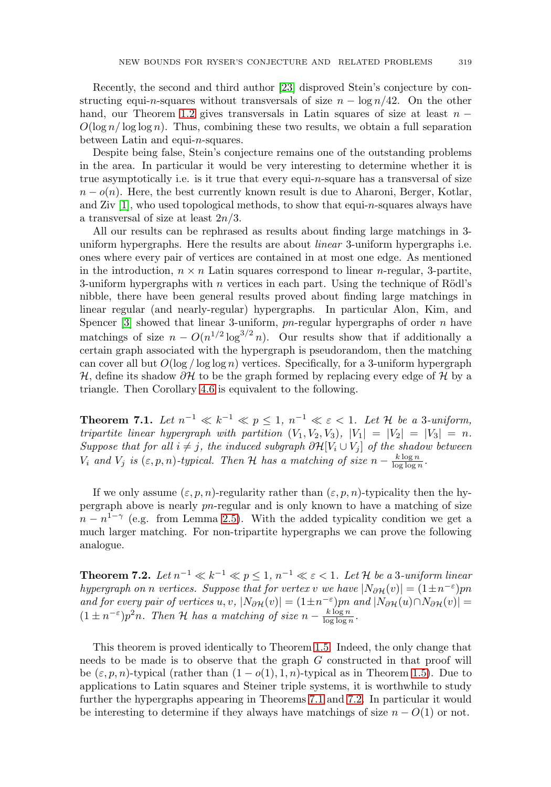Recently, the second and third author [\[23\]](#page-33-8) disproved Stein's conjecture by constructing equi-n-squares without transversals of size  $n - \log n/42$ . On the other hand, our Theorem [1.2](#page-1-1) gives transversals in Latin squares of size at least  $n O(\log n/\log \log n)$ . Thus, combining these two results, we obtain a full separation between Latin and equi-n-squares.

Despite being false, Stein's conjecture remains one of the outstanding problems in the area. In particular it would be very interesting to determine whether it is true asymptotically i.e. is it true that every equi-n-square has a transversal of size  $n - o(n)$ . Here, the best currently known result is due to Aharoni, Berger, Kotlar, and Ziv  $[1]$ , who used topological methods, to show that equi-n-squares always have a transversal of size at least  $2n/3$ .

All our results can be rephrased as results about finding large matchings in 3 uniform hypergraphs. Here the results are about *linear* 3-uniform hypergraphs i.e. ones where every pair of vertices are contained in at most one edge. As mentioned in the introduction,  $n \times n$  Latin squares correspond to linear *n*-regular, 3-partite, 3-uniform hypergraphs with  $n$  vertices in each part. Using the technique of Rödl's nibble, there have been general results proved about finding large matchings in linear regular (and nearly-regular) hypergraphs. In particular Alon, Kim, and Spencer  $[3]$  showed that linear 3-uniform, pn-regular hypergraphs of order n have matchings of size  $n - O(n^{1/2} \log^{3/2} n)$ . Our results show that if additionally a certain graph associated with the hypergraph is pseudorandom, then the matching can cover all but  $O(\log / \log \log n)$  vertices. Specifically, for a 3-uniform hypergraph H, define its shadow  $\partial \mathcal{H}$  to be the graph formed by replacing every edge of H by a triangle. Then Corollary [4.6](#page-26-0) is equivalent to the following.

<span id="page-31-0"></span>**Theorem 7.1.** Let  $n^{-1} \ll k^{-1} \ll p \leq 1$ ,  $n^{-1} \ll \varepsilon < 1$ . Let H be a 3-uniform, tripartite linear hypergraph with partition  $(V_1, V_2, V_3)$ ,  $|V_1| = |V_2| = |V_3| = n$ . Suppose that for all  $i \neq j$ , the induced subgraph  $\partial \mathcal{H}[V_i \cup V_j]$  of the shadow between  $V_i$  and  $V_j$  is  $(\varepsilon, p, n)$ -typical. Then H has a matching of size  $n - \frac{k \log n}{\log \log n}$ .

If we only assume  $(\varepsilon, p, n)$ -regularity rather than  $(\varepsilon, p, n)$ -typicality then the hypergraph above is nearly pn-regular and is only known to have a matching of size  $n - n^{1-\gamma}$  (e.g. from Lemma [2.5\)](#page-7-0). With the added typicality condition we get a much larger matching. For non-tripartite hypergraphs we can prove the following analogue.

<span id="page-31-1"></span>**Theorem 7.2.** Let  $n^{-1} \ll k^{-1} \ll p \leq 1$ ,  $n^{-1} \ll \varepsilon < 1$ . Let H be a 3-uniform linear hypergraph on n vertices. Suppose that for vertex v we have  $|N_{\partial H}(v)| = (1 \pm n^{-\epsilon})pn$ and for every pair of vertices u, v,  $|N_{\partial \mathcal{H}}(v)| = (1 \pm n^{-\varepsilon})p n$  and  $|N_{\partial \mathcal{H}}(u) \cap N_{\partial \mathcal{H}}(v)| =$  $(1 \pm n^{-\varepsilon})p^2n$ . Then H has a matching of size  $n - \frac{k \log n}{\log \log n}$ .

This theorem is proved identically to Theorem [1.5.](#page-2-0) Indeed, the only change that needs to be made is to observe that the graph G constructed in that proof will be  $(\varepsilon, p, n)$ -typical (rather than  $(1 - o(1), 1, n)$ -typical as in Theorem [1.5\)](#page-2-0). Due to applications to Latin squares and Steiner triple systems, it is worthwhile to study further the hypergraphs appearing in Theorems [7.1](#page-31-0) and [7.2.](#page-31-1) In particular it would be interesting to determine if they always have matchings of size  $n - O(1)$  or not.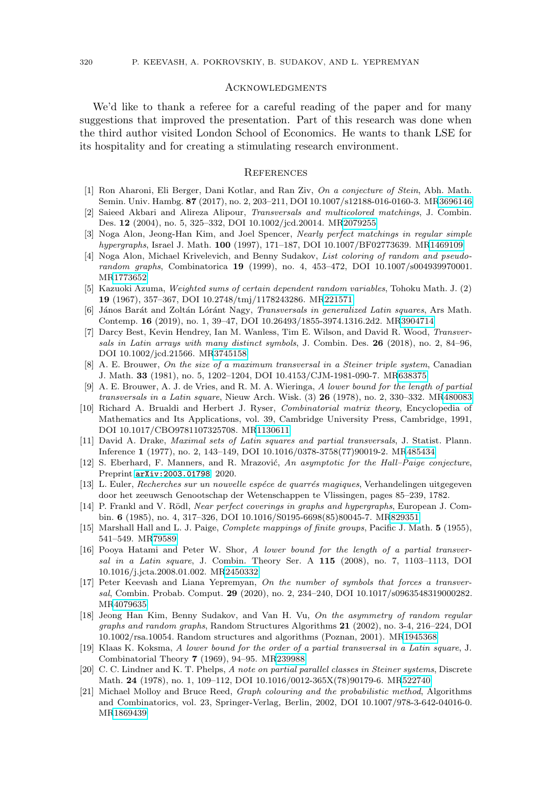#### **ACKNOWLEDGMENTS**

We'd like to thank a referee for a careful reading of the paper and for many suggestions that improved the presentation. Part of this research was done when the third author visited London School of Economics. He wants to thank LSE for its hospitality and for creating a stimulating research environment.

#### **REFERENCES**

- <span id="page-32-20"></span>[1] Ron Aharoni, Eli Berger, Dani Kotlar, and Ran Ziv, On a conjecture of Stein, Abh. Math. Semin. Univ. Hambg. **87** (2017), no. 2, 203–211, DOI 10.1007/s12188-016-0160-3. M[R3696146](https://www.ams.org/mathscinet-getitem?mr=3696146)
- <span id="page-32-8"></span>[2] Saieed Akbari and Alireza Alipour, Transversals and multicolored matchings, J. Combin. Des. **12** (2004), no. 5, 325–332, DOI 10.1002/jcd.20014. M[R2079255](https://www.ams.org/mathscinet-getitem?mr=2079255)
- <span id="page-32-14"></span>[3] Noga Alon, Jeong-Han Kim, and Joel Spencer, Nearly perfect matchings in regular simple hypergraphs, Israel J. Math. **100** (1997), 171–187, DOI 10.1007/BF02773639. M[R1469109](https://www.ams.org/mathscinet-getitem?mr=1469109)
- <span id="page-32-19"></span>[4] Noga Alon, Michael Krivelevich, and Benny Sudakov, List coloring of random and pseudorandom graphs, Combinatorica **19** (1999), no. 4, 453–472, DOI 10.1007/s004939970001. M[R1773652](https://www.ams.org/mathscinet-getitem?mr=1773652)
- <span id="page-32-16"></span>[5] Kazuoki Azuma, Weighted sums of certain dependent random variables, Tohoku Math. J. (2) **19** (1967), 357–367, DOI 10.2748/tmj/1178243286. M[R221571](https://www.ams.org/mathscinet-getitem?mr=221571)
- <span id="page-32-10"></span> $\left[ 6\right]$  János Barát and Zoltán Lóránt Nagy, Transversals in generalized Latin squares, Ars Math. Contemp. **16** (2019), no. 1, 39–47, DOI 10.26493/1855-3974.1316.2d2. M[R3904714](https://www.ams.org/mathscinet-getitem?mr=3904714)
- <span id="page-32-9"></span>[7] Darcy Best, Kevin Hendrey, Ian M. Wanless, Tim E. Wilson, and David R. Wood, Transversals in Latin arrays with many distinct symbols, J. Combin. Des. **26** (2018), no. 2, 84–96, DOI 10.1002/jcd.21566. M[R3745158](https://www.ams.org/mathscinet-getitem?mr=3745158)
- <span id="page-32-12"></span>[8] A. E. Brouwer, On the size of a maximum transversal in a Steiner triple system, Canadian J. Math. **33** (1981), no. 5, 1202–1204, DOI 10.4153/CJM-1981-090-7. M[R638375](https://www.ams.org/mathscinet-getitem?mr=638375)
- <span id="page-32-6"></span>[9] A. E. Brouwer, A. J. de Vries, and R. M. A. Wieringa, A lower bound for the length of partial transversals in a Latin square, Nieuw Arch. Wisk. (3) **26** (1978), no. 2, 330–332. M[R480083](https://www.ams.org/mathscinet-getitem?mr=480083)
- <span id="page-32-3"></span>[10] Richard A. Brualdi and Herbert J. Ryser, Combinatorial matrix theory, Encyclopedia of Mathematics and Its Applications, vol. 39, Cambridge University Press, Cambridge, 1991, DOI 10.1017/CBO9781107325708. M[R1130611](https://www.ams.org/mathscinet-getitem?mr=1130611)
- <span id="page-32-5"></span>[11] David A. Drake, Maximal sets of Latin squares and partial transversals, J. Statist. Plann. Inference **1** (1977), no. 2, 143–149, DOI 10.1016/0378-3758(77)90019-2. M[R485434](https://www.ams.org/mathscinet-getitem?mr=485434)
- <span id="page-32-2"></span>[12] S. Eberhard, F. Manners, and R. Mrazović, An asymptotic for the Hall–Paige conjecture, Preprint [arXiv:2003.01798](https://arxiv.org/abs/2003.01798), 2020.
- <span id="page-32-0"></span>[13] L. Euler, Recherches sur un nouvelle espéce de quarrés magiques, Verhandelingen uitgegeven door het zeeuwsch Genootschap der Wetenschappen te Vlissingen, pages 85–239, 1782.
- <span id="page-32-18"></span>[14] P. Frankl and V. Rödl, *Near perfect coverings in graphs and hypergraphs*, European J. Combin. **6** (1985), no. 4, 317–326, DOI 10.1016/S0195-6698(85)80045-7. M[R829351](https://www.ams.org/mathscinet-getitem?mr=829351)
- <span id="page-32-1"></span>[15] Marshall Hall and L. J. Paige, Complete mappings of finite groups, Pacific J. Math. **5** (1955), 541–549. M[R79589](https://www.ams.org/mathscinet-getitem?mr=79589)
- <span id="page-32-7"></span>[16] Pooya Hatami and Peter W. Shor, A lower bound for the length of a partial transversal in a Latin square, J. Combin. Theory Ser. A **115** (2008), no. 7, 1103–1113, DOI 10.1016/j.jcta.2008.01.002. M[R2450332](https://www.ams.org/mathscinet-getitem?mr=2450332)
- <span id="page-32-11"></span>[17] Peter Keevash and Liana Yepremyan, On the number of symbols that forces a transversal, Combin. Probab. Comput. **29** (2020), no. 2, 234–240, DOI 10.1017/s0963548319000282. M[R4079635](https://www.ams.org/mathscinet-getitem?mr=4079635)
- <span id="page-32-17"></span>[18] Jeong Han Kim, Benny Sudakov, and Van H. Vu, On the asymmetry of random regular graphs and random graphs, Random Structures Algorithms **21** (2002), no. 3-4, 216–224, DOI 10.1002/rsa.10054. Random structures and algorithms (Poznan, 2001). M[R1945368](https://www.ams.org/mathscinet-getitem?mr=1945368)
- <span id="page-32-4"></span>[19] Klaas K. Koksma, A lower bound for the order of a partial transversal in a Latin square, J. Combinatorial Theory **7** (1969), 94–95. M[R239988](https://www.ams.org/mathscinet-getitem?mr=239988)
- <span id="page-32-13"></span>[20] C. C. Lindner and K. T. Phelps, A note on partial parallel classes in Steiner systems, Discrete Math. **24** (1978), no. 1, 109–112, DOI 10.1016/0012-365X(78)90179-6. M[R522740](https://www.ams.org/mathscinet-getitem?mr=522740)
- <span id="page-32-15"></span>[21] Michael Molloy and Bruce Reed, Graph colouring and the probabilistic method, Algorithms and Combinatorics, vol. 23, Springer-Verlag, Berlin, 2002, DOI 10.1007/978-3-642-04016-0. M[R1869439](https://www.ams.org/mathscinet-getitem?mr=1869439)